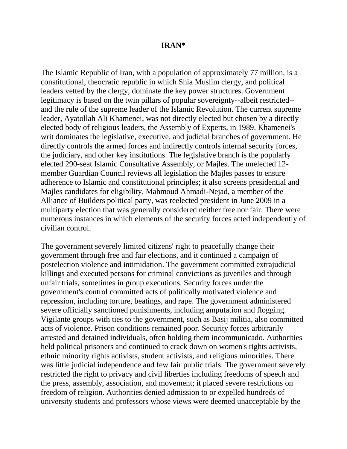### **IRAN\***

The Islamic Republic of Iran, with a population of approximately 77 million, is a constitutional, theocratic republic in which Shia Muslim clergy, and political leaders vetted by the clergy, dominate the key power structures. Government legitimacy is based on the twin pillars of popular sovereignty--albeit restricted- and the rule of the supreme leader of the Islamic Revolution. The current supreme leader, Ayatollah Ali Khamenei, was not directly elected but chosen by a directly elected body of religious leaders, the Assembly of Experts, in 1989. Khamenei's writ dominates the legislative, executive, and judicial branches of government. He directly controls the armed forces and indirectly controls internal security forces, the judiciary, and other key institutions. The legislative branch is the popularly elected 290-seat Islamic Consultative Assembly, or Majles. The unelected 12 member Guardian Council reviews all legislation the Majles passes to ensure adherence to Islamic and constitutional principles; it also screens presidential and Majles candidates for eligibility. Mahmoud Ahmadi-Nejad, a member of the Alliance of Builders political party, was reelected president in June 2009 in a multiparty election that was generally considered neither free nor fair. There were numerous instances in which elements of the security forces acted independently of civilian control.

The government severely limited citizens' right to peacefully change their government through free and fair elections, and it continued a campaign of postelection violence and intimidation. The government committed extrajudicial killings and executed persons for criminal convictions as juveniles and through unfair trials, sometimes in group executions. Security forces under the government's control committed acts of politically motivated violence and repression, including torture, beatings, and rape. The government administered severe officially sanctioned punishments, including amputation and flogging. Vigilante groups with ties to the government, such as Basij militia, also committed acts of violence. Prison conditions remained poor. Security forces arbitrarily arrested and detained individuals, often holding them incommunicado. Authorities held political prisoners and continued to crack down on women's rights activists, ethnic minority rights activists, student activists, and religious minorities. There was little judicial independence and few fair public trials. The government severely restricted the right to privacy and civil liberties including freedoms of speech and the press, assembly, association, and movement; it placed severe restrictions on freedom of religion. Authorities denied admission to or expelled hundreds of university students and professors whose views were deemed unacceptable by the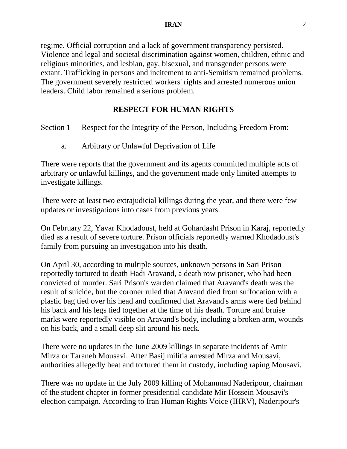regime. Official corruption and a lack of government transparency persisted. Violence and legal and societal discrimination against women, children, ethnic and religious minorities, and lesbian, gay, bisexual, and transgender persons were extant. Trafficking in persons and incitement to anti-Semitism remained problems. The government severely restricted workers' rights and arrested numerous union leaders. Child labor remained a serious problem.

# **RESPECT FOR HUMAN RIGHTS**

Section 1 Respect for the Integrity of the Person, Including Freedom From:

a. Arbitrary or Unlawful Deprivation of Life

There were reports that the government and its agents committed multiple acts of arbitrary or unlawful killings, and the government made only limited attempts to investigate killings.

There were at least two extrajudicial killings during the year, and there were few updates or investigations into cases from previous years.

On February 22, Yavar Khodadoust, held at Gohardasht Prison in Karaj, reportedly died as a result of severe torture. Prison officials reportedly warned Khodadoust's family from pursuing an investigation into his death.

On April 30, according to multiple sources, unknown persons in Sari Prison reportedly tortured to death Hadi Aravand, a death row prisoner, who had been convicted of murder. Sari Prison's warden claimed that Aravand's death was the result of suicide, but the coroner ruled that Aravand died from suffocation with a plastic bag tied over his head and confirmed that Aravand's arms were tied behind his back and his legs tied together at the time of his death. Torture and bruise marks were reportedly visible on Aravand's body, including a broken arm, wounds on his back, and a small deep slit around his neck.

There were no updates in the June 2009 killings in separate incidents of Amir Mirza or Taraneh Mousavi. After Basij militia arrested Mirza and Mousavi, authorities allegedly beat and tortured them in custody, including raping Mousavi.

There was no update in the July 2009 killing of Mohammad Naderipour, chairman of the student chapter in former presidential candidate Mir Hossein Mousavi's election campaign. According to Iran Human Rights Voice (IHRV), Naderipour's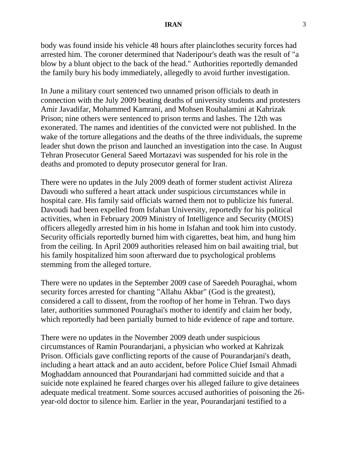body was found inside his vehicle 48 hours after plainclothes security forces had arrested him. The coroner determined that Naderipour's death was the result of "a blow by a blunt object to the back of the head." Authorities reportedly demanded the family bury his body immediately, allegedly to avoid further investigation.

In June a military court sentenced two unnamed prison officials to death in connection with the July 2009 beating deaths of university students and protesters Amir Javadifar, Mohammed Kamrani, and Mohsen Rouhalamini at Kahrizak Prison; nine others were sentenced to prison terms and lashes. The 12th was exonerated. The names and identities of the convicted were not published. In the wake of the torture allegations and the deaths of the three individuals, the supreme leader shut down the prison and launched an investigation into the case. In August Tehran Prosecutor General Saeed Mortazavi was suspended for his role in the deaths and promoted to deputy prosecutor general for Iran.

There were no updates in the July 2009 death of former student activist Alireza Davoudi who suffered a heart attack under suspicious circumstances while in hospital care. His family said officials warned them not to publicize his funeral. Davoudi had been expelled from Isfahan University, reportedly for his political activities, when in February 2009 Ministry of Intelligence and Security (MOIS) officers allegedly arrested him in his home in Isfahan and took him into custody. Security officials reportedly burned him with cigarettes, beat him, and hung him from the ceiling. In April 2009 authorities released him on bail awaiting trial, but his family hospitalized him soon afterward due to psychological problems stemming from the alleged torture.

There were no updates in the September 2009 case of Saeedeh Pouraghai, whom security forces arrested for chanting "Allahu Akbar" (God is the greatest), considered a call to dissent, from the rooftop of her home in Tehran. Two days later, authorities summoned Pouraghai's mother to identify and claim her body, which reportedly had been partially burned to hide evidence of rape and torture.

There were no updates in the November 2009 death under suspicious circumstances of Ramin Pourandarjani, a physician who worked at Kahrizak Prison. Officials gave conflicting reports of the cause of Pourandarjani's death, including a heart attack and an auto accident, before Police Chief Ismail Ahmadi Moghaddam announced that Pourandarjani had committed suicide and that a suicide note explained he feared charges over his alleged failure to give detainees adequate medical treatment. Some sources accused authorities of poisoning the 26 year-old doctor to silence him. Earlier in the year, Pourandarjani testified to a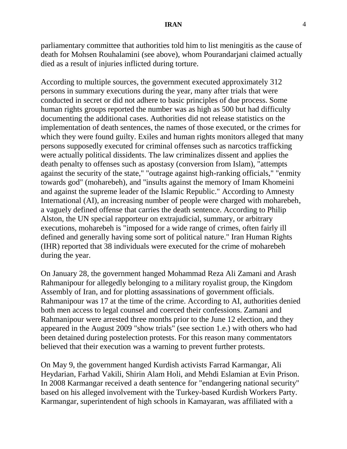parliamentary committee that authorities told him to list meningitis as the cause of death for Mohsen Rouhalamini (see above), whom Pourandarjani claimed actually died as a result of injuries inflicted during torture.

According to multiple sources, the government executed approximately 312 persons in summary executions during the year, many after trials that were conducted in secret or did not adhere to basic principles of due process. Some human rights groups reported the number was as high as 500 but had difficulty documenting the additional cases. Authorities did not release statistics on the implementation of death sentences, the names of those executed, or the crimes for which they were found guilty. Exiles and human rights monitors alleged that many persons supposedly executed for criminal offenses such as narcotics trafficking were actually political dissidents. The law criminalizes dissent and applies the death penalty to offenses such as apostasy (conversion from Islam), "attempts against the security of the state," "outrage against high-ranking officials," "enmity towards god" (moharebeh), and "insults against the memory of Imam Khomeini and against the supreme leader of the Islamic Republic." According to Amnesty International (AI), an increasing number of people were charged with moharebeh, a vaguely defined offense that carries the death sentence. According to Philip Alston, the UN special rapporteur on extrajudicial, summary, or arbitrary executions, moharebeh is "imposed for a wide range of crimes, often fairly ill defined and generally having some sort of political nature." Iran Human Rights (IHR) reported that 38 individuals were executed for the crime of moharebeh during the year.

On January 28, the government hanged Mohammad Reza Ali Zamani and Arash Rahmanipour for allegedly belonging to a military royalist group, the Kingdom Assembly of Iran, and for plotting assassinations of government officials. Rahmanipour was 17 at the time of the crime. According to AI, authorities denied both men access to legal counsel and coerced their confessions. Zamani and Rahmanipour were arrested three months prior to the June 12 election, and they appeared in the August 2009 "show trials" (see section 1.e.) with others who had been detained during postelection protests. For this reason many commentators believed that their execution was a warning to prevent further protests.

On May 9, the government hanged Kurdish activists Farrad Karmangar, Ali Heydarian, Farhad Vakili, Shirin Alam Holi, and Mehdi Eslamian at Evin Prison. In 2008 Karmangar received a death sentence for "endangering national security" based on his alleged involvement with the Turkey-based Kurdish Workers Party. Karmangar, superintendent of high schools in Kamayaran, was affiliated with a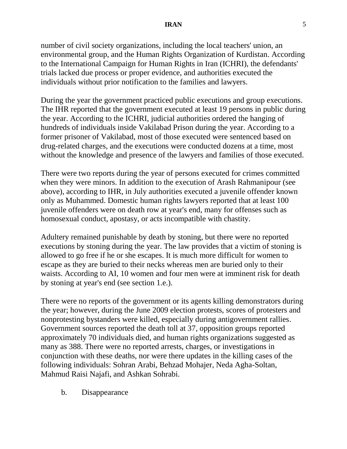number of civil society organizations, including the local teachers' union, an environmental group, and the Human Rights Organization of Kurdistan. According to the International Campaign for Human Rights in Iran (ICHRI), the defendants' trials lacked due process or proper evidence, and authorities executed the individuals without prior notification to the families and lawyers.

During the year the government practiced public executions and group executions. The IHR reported that the government executed at least 19 persons in public during the year. According to the ICHRI, judicial authorities ordered the hanging of hundreds of individuals inside Vakilabad Prison during the year. According to a former prisoner of Vakilabad, most of those executed were sentenced based on drug-related charges, and the executions were conducted dozens at a time, most without the knowledge and presence of the lawyers and families of those executed.

There were two reports during the year of persons executed for crimes committed when they were minors. In addition to the execution of Arash Rahmanipour (see above), according to IHR, in July authorities executed a juvenile offender known only as Muhammed. Domestic human rights lawyers reported that at least 100 juvenile offenders were on death row at year's end, many for offenses such as homosexual conduct, apostasy, or acts incompatible with chastity.

Adultery remained punishable by death by stoning, but there were no reported executions by stoning during the year. The law provides that a victim of stoning is allowed to go free if he or she escapes. It is much more difficult for women to escape as they are buried to their necks whereas men are buried only to their waists. According to AI, 10 women and four men were at imminent risk for death by stoning at year's end (see section 1.e.).

There were no reports of the government or its agents killing demonstrators during the year; however, during the June 2009 election protests, scores of protesters and nonprotesting bystanders were killed, especially during antigovernment rallies. Government sources reported the death toll at 37, opposition groups reported approximately 70 individuals died, and human rights organizations suggested as many as 388. There were no reported arrests, charges, or investigations in conjunction with these deaths, nor were there updates in the killing cases of the following individuals: Sohran Arabi, Behzad Mohajer, Neda Agha-Soltan, Mahmud Raisi Najafi, and Ashkan Sohrabi.

b. Disappearance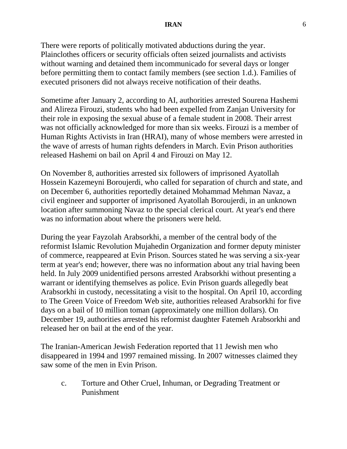### **IRAN** 6

There were reports of politically motivated abductions during the year. Plainclothes officers or security officials often seized journalists and activists without warning and detained them incommunicado for several days or longer before permitting them to contact family members (see section 1.d.). Families of executed prisoners did not always receive notification of their deaths.

Sometime after January 2, according to AI, authorities arrested Sourena Hashemi and Alireza Firouzi, students who had been expelled from Zanjan University for their role in exposing the sexual abuse of a female student in 2008. Their arrest was not officially acknowledged for more than six weeks. Firouzi is a member of Human Rights Activists in Iran (HRAI), many of whose members were arrested in the wave of arrests of human rights defenders in March. Evin Prison authorities released Hashemi on bail on April 4 and Firouzi on May 12.

On November 8, authorities arrested six followers of imprisoned Ayatollah Hossein Kazemeyni Boroujerdi, who called for separation of church and state, and on December 6, authorities reportedly detained Mohammad Mehman Navaz, a civil engineer and supporter of imprisoned Ayatollah Boroujerdi, in an unknown location after summoning Navaz to the special clerical court. At year's end there was no information about where the prisoners were held.

During the year Fayzolah Arabsorkhi, a member of the central body of the reformist Islamic Revolution Mujahedin Organization and former deputy minister of commerce, reappeared at Evin Prison. Sources stated he was serving a six-year term at year's end; however, there was no information about any trial having been held. In July 2009 unidentified persons arrested Arabsorkhi without presenting a warrant or identifying themselves as police. Evin Prison guards allegedly beat Arabsorkhi in custody, necessitating a visit to the hospital. On April 10, according to The Green Voice of Freedom Web site, authorities released Arabsorkhi for five days on a bail of 10 million toman (approximately one million dollars). On December 19, authorities arrested his reformist daughter Fatemeh Arabsorkhi and released her on bail at the end of the year.

The Iranian-American Jewish Federation reported that 11 Jewish men who disappeared in 1994 and 1997 remained missing. In 2007 witnesses claimed they saw some of the men in Evin Prison.

c. Torture and Other Cruel, Inhuman, or Degrading Treatment or Punishment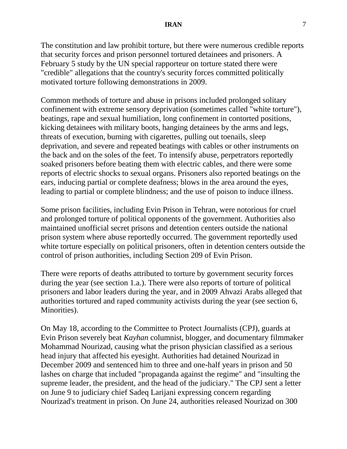The constitution and law prohibit torture, but there were numerous credible reports that security forces and prison personnel tortured detainees and prisoners. A February 5 study by the UN special rapporteur on torture stated there were "credible" allegations that the country's security forces committed politically motivated torture following demonstrations in 2009.

Common methods of torture and abuse in prisons included prolonged solitary confinement with extreme sensory deprivation (sometimes called "white torture"), beatings, rape and sexual humiliation, long confinement in contorted positions, kicking detainees with military boots, hanging detainees by the arms and legs, threats of execution, burning with cigarettes, pulling out toenails, sleep deprivation, and severe and repeated beatings with cables or other instruments on the back and on the soles of the feet. To intensify abuse, perpetrators reportedly soaked prisoners before beating them with electric cables, and there were some reports of electric shocks to sexual organs. Prisoners also reported beatings on the ears, inducing partial or complete deafness; blows in the area around the eyes, leading to partial or complete blindness; and the use of poison to induce illness.

Some prison facilities, including Evin Prison in Tehran, were notorious for cruel and prolonged torture of political opponents of the government. Authorities also maintained unofficial secret prisons and detention centers outside the national prison system where abuse reportedly occurred. The government reportedly used white torture especially on political prisoners, often in detention centers outside the control of prison authorities, including Section 209 of Evin Prison.

There were reports of deaths attributed to torture by government security forces during the year (see section 1.a.). There were also reports of torture of political prisoners and labor leaders during the year, and in 2009 Ahvazi Arabs alleged that authorities tortured and raped community activists during the year (see section 6, Minorities).

On May 18, according to the Committee to Protect Journalists (CPJ), guards at Evin Prison severely beat *Kayhan* columnist, blogger, and documentary filmmaker Mohammad Nourizad, causing what the prison physician classified as a serious head injury that affected his eyesight. Authorities had detained Nourizad in December 2009 and sentenced him to three and one-half years in prison and 50 lashes on charge that included "propaganda against the regime" and "insulting the supreme leader, the president, and the head of the judiciary." The CPJ sent a letter on June 9 to judiciary chief Sadeq Larijani expressing concern regarding Nourizad's treatment in prison. On June 24, authorities released Nourizad on 300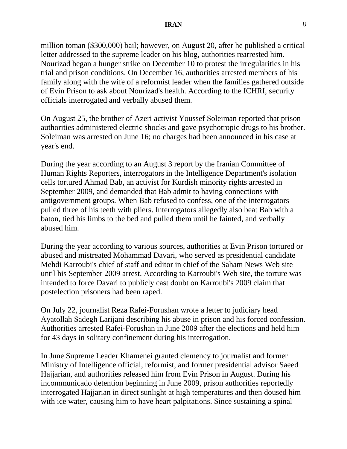million toman (\$300,000) bail; however, on August 20, after he published a critical letter addressed to the supreme leader on his blog, authorities rearrested him. Nourizad began a hunger strike on December 10 to protest the irregularities in his trial and prison conditions. On December 16, authorities arrested members of his family along with the wife of a reformist leader when the families gathered outside of Evin Prison to ask about Nourizad's health. According to the ICHRI, security officials interrogated and verbally abused them.

On August 25, the brother of Azeri activist Youssef Soleiman reported that prison authorities administered electric shocks and gave psychotropic drugs to his brother. Soleiman was arrested on June 16; no charges had been announced in his case at year's end.

During the year according to an August 3 report by the Iranian Committee of Human Rights Reporters, interrogators in the Intelligence Department's isolation cells tortured Ahmad Bab, an activist for Kurdish minority rights arrested in September 2009, and demanded that Bab admit to having connections with antigovernment groups. When Bab refused to confess, one of the interrogators pulled three of his teeth with pliers. Interrogators allegedly also beat Bab with a baton, tied his limbs to the bed and pulled them until he fainted, and verbally abused him.

During the year according to various sources, authorities at Evin Prison tortured or abused and mistreated Mohammad Davari, who served as presidential candidate Mehdi Karroubi's chief of staff and editor in chief of the Saham News Web site until his September 2009 arrest. According to Karroubi's Web site, the torture was intended to force Davari to publicly cast doubt on Karroubi's 2009 claim that postelection prisoners had been raped.

On July 22, journalist Reza Rafei-Forushan wrote a letter to judiciary head Ayatollah Sadegh Larijani describing his abuse in prison and his forced confession. Authorities arrested Rafei-Forushan in June 2009 after the elections and held him for 43 days in solitary confinement during his interrogation.

In June Supreme Leader Khamenei granted clemency to journalist and former Ministry of Intelligence official, reformist, and former presidential advisor Saeed Hajjarian, and authorities released him from Evin Prison in August. During his incommunicado detention beginning in June 2009, prison authorities reportedly interrogated Hajjarian in direct sunlight at high temperatures and then doused him with ice water, causing him to have heart palpitations. Since sustaining a spinal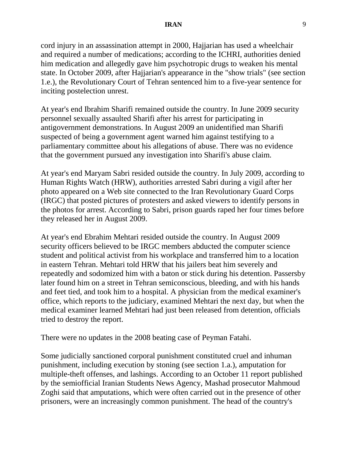cord injury in an assassination attempt in 2000, Hajjarian has used a wheelchair and required a number of medications; according to the ICHRI, authorities denied him medication and allegedly gave him psychotropic drugs to weaken his mental state. In October 2009, after Hajjarian's appearance in the "show trials" (see section 1.e.), the Revolutionary Court of Tehran sentenced him to a five-year sentence for inciting postelection unrest.

At year's end Ibrahim Sharifi remained outside the country. In June 2009 security personnel sexually assaulted Sharifi after his arrest for participating in antigovernment demonstrations. In August 2009 an unidentified man Sharifi suspected of being a government agent warned him against testifying to a parliamentary committee about his allegations of abuse. There was no evidence that the government pursued any investigation into Sharifi's abuse claim.

At year's end Maryam Sabri resided outside the country. In July 2009, according to Human Rights Watch (HRW), authorities arrested Sabri during a vigil after her photo appeared on a Web site connected to the Iran Revolutionary Guard Corps (IRGC) that posted pictures of protesters and asked viewers to identify persons in the photos for arrest. According to Sabri, prison guards raped her four times before they released her in August 2009.

At year's end Ebrahim Mehtari resided outside the country. In August 2009 security officers believed to be IRGC members abducted the computer science student and political activist from his workplace and transferred him to a location in eastern Tehran. Mehtari told HRW that his jailers beat him severely and repeatedly and sodomized him with a baton or stick during his detention. Passersby later found him on a street in Tehran semiconscious, bleeding, and with his hands and feet tied, and took him to a hospital. A physician from the medical examiner's office, which reports to the judiciary, examined Mehtari the next day, but when the medical examiner learned Mehtari had just been released from detention, officials tried to destroy the report.

There were no updates in the 2008 beating case of Peyman Fatahi.

Some judicially sanctioned corporal punishment constituted cruel and inhuman punishment, including execution by stoning (see section 1.a.), amputation for multiple-theft offenses, and lashings. According to an October 11 report published by the semiofficial Iranian Students News Agency, Mashad prosecutor Mahmoud Zoghi said that amputations, which were often carried out in the presence of other prisoners, were an increasingly common punishment. The head of the country's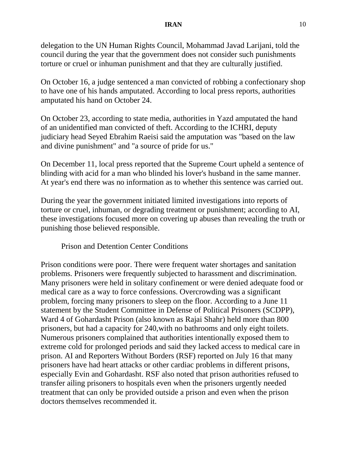### **IRAN** 10

delegation to the UN Human Rights Council, Mohammad Javad Larijani, told the council during the year that the government does not consider such punishments torture or cruel or inhuman punishment and that they are culturally justified.

On October 16, a judge sentenced a man convicted of robbing a confectionary shop to have one of his hands amputated. According to local press reports, authorities amputated his hand on October 24.

On October 23, according to state media, authorities in Yazd amputated the hand of an unidentified man convicted of theft. According to the ICHRI, deputy judiciary head Seyed Ebrahim Raeisi said the amputation was "based on the law and divine punishment" and "a source of pride for us."

On December 11, local press reported that the Supreme Court upheld a sentence of blinding with acid for a man who blinded his lover's husband in the same manner. At year's end there was no information as to whether this sentence was carried out.

During the year the government initiated limited investigations into reports of torture or cruel, inhuman, or degrading treatment or punishment; according to AI, these investigations focused more on covering up abuses than revealing the truth or punishing those believed responsible.

Prison and Detention Center Conditions

Prison conditions were poor. There were frequent water shortages and sanitation problems. Prisoners were frequently subjected to harassment and discrimination. Many prisoners were held in solitary confinement or were denied adequate food or medical care as a way to force confessions. Overcrowding was a significant problem, forcing many prisoners to sleep on the floor. According to a June 11 statement by the Student Committee in Defense of Political Prisoners (SCDPP), Ward 4 of Gohardasht Prison (also known as Rajai Shahr) held more than 800 prisoners, but had a capacity for 240,with no bathrooms and only eight toilets. Numerous prisoners complained that authorities intentionally exposed them to extreme cold for prolonged periods and said they lacked access to medical care in prison. AI and Reporters Without Borders (RSF) reported on July 16 that many prisoners have had heart attacks or other cardiac problems in different prisons, especially Evin and Gohardasht. RSF also noted that prison authorities refused to transfer ailing prisoners to hospitals even when the prisoners urgently needed treatment that can only be provided outside a prison and even when the prison doctors themselves recommended it.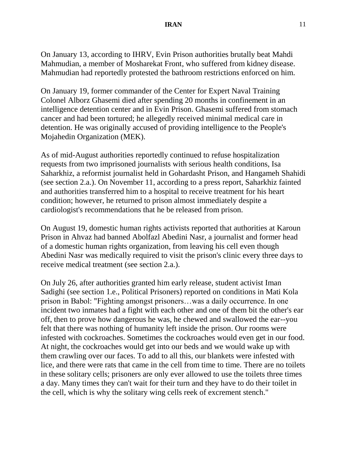On January 13, according to IHRV, Evin Prison authorities brutally beat Mahdi Mahmudian, a member of Mosharekat Front, who suffered from kidney disease. Mahmudian had reportedly protested the bathroom restrictions enforced on him.

On January 19, former commander of the Center for Expert Naval Training Colonel Alborz Ghasemi died after spending 20 months in confinement in an intelligence detention center and in Evin Prison. Ghasemi suffered from stomach cancer and had been tortured; he allegedly received minimal medical care in detention. He was originally accused of providing intelligence to the People's Mojahedin Organization (MEK).

As of mid-August authorities reportedly continued to refuse hospitalization requests from two imprisoned journalists with serious health conditions, Isa Saharkhiz, a reformist journalist held in Gohardasht Prison, and Hangameh Shahidi (see section 2.a.). On November 11, according to a press report, Saharkhiz fainted and authorities transferred him to a hospital to receive treatment for his heart condition; however, he returned to prison almost immediately despite a cardiologist's recommendations that he be released from prison.

On August 19, domestic human rights activists reported that authorities at Karoun Prison in Ahvaz had banned Abolfazl Abedini Nasr, a journalist and former head of a domestic human rights organization, from leaving his cell even though Abedini Nasr was medically required to visit the prison's clinic every three days to receive medical treatment (see section 2.a.).

On July 26, after authorities granted him early release, student activist Iman Sadighi (see section 1.e., Political Prisoners) reported on conditions in Mati Kola prison in Babol: "Fighting amongst prisoners…was a daily occurrence. In one incident two inmates had a fight with each other and one of them bit the other's ear off, then to prove how dangerous he was, he chewed and swallowed the ear--you felt that there was nothing of humanity left inside the prison. Our rooms were infested with cockroaches. Sometimes the cockroaches would even get in our food. At night, the cockroaches would get into our beds and we would wake up with them crawling over our faces. To add to all this, our blankets were infested with lice, and there were rats that came in the cell from time to time. There are no toilets in these solitary cells; prisoners are only ever allowed to use the toilets three times a day. Many times they can't wait for their turn and they have to do their toilet in the cell, which is why the solitary wing cells reek of excrement stench."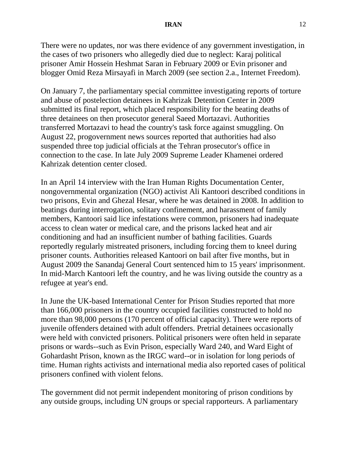#### **IRAN** 12

There were no updates, nor was there evidence of any government investigation, in the cases of two prisoners who allegedly died due to neglect: Karaj political prisoner Amir Hossein Heshmat Saran in February 2009 or Evin prisoner and blogger Omid Reza Mirsayafi in March 2009 (see section 2.a., Internet Freedom).

On January 7, the parliamentary special committee investigating reports of torture and abuse of postelection detainees in Kahrizak Detention Center in 2009 submitted its final report, which placed responsibility for the beating deaths of three detainees on then prosecutor general Saeed Mortazavi. Authorities transferred Mortazavi to head the country's task force against smuggling. On August 22, progovernment news sources reported that authorities had also suspended three top judicial officials at the Tehran prosecutor's office in connection to the case. In late July 2009 Supreme Leader Khamenei ordered Kahrizak detention center closed.

In an April 14 interview with the Iran Human Rights Documentation Center, nongovernmental organization (NGO) activist Ali Kantoori described conditions in two prisons, Evin and Ghezal Hesar, where he was detained in 2008. In addition to beatings during interrogation, solitary confinement, and harassment of family members, Kantoori said lice infestations were common, prisoners had inadequate access to clean water or medical care, and the prisons lacked heat and air conditioning and had an insufficient number of bathing facilities. Guards reportedly regularly mistreated prisoners, including forcing them to kneel during prisoner counts. Authorities released Kantoori on bail after five months, but in August 2009 the Sanandaj General Court sentenced him to 15 years' imprisonment. In mid-March Kantoori left the country, and he was living outside the country as a refugee at year's end.

In June the UK-based International Center for Prison Studies reported that more than 166,000 prisoners in the country occupied facilities constructed to hold no more than 98,000 persons (170 percent of official capacity). There were reports of juvenile offenders detained with adult offenders. Pretrial detainees occasionally were held with convicted prisoners. Political prisoners were often held in separate prisons or wards--such as Evin Prison, especially Ward 240, and Ward Eight of Gohardasht Prison, known as the IRGC ward--or in isolation for long periods of time. Human rights activists and international media also reported cases of political prisoners confined with violent felons.

The government did not permit independent monitoring of prison conditions by any outside groups, including UN groups or special rapporteurs. A parliamentary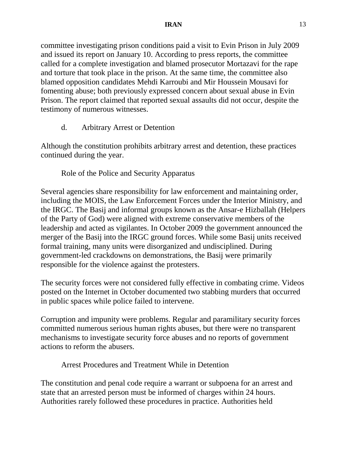committee investigating prison conditions paid a visit to Evin Prison in July 2009 and issued its report on January 10. According to press reports, the committee called for a complete investigation and blamed prosecutor Mortazavi for the rape and torture that took place in the prison. At the same time, the committee also blamed opposition candidates Mehdi Karroubi and Mir Houssein Mousavi for fomenting abuse; both previously expressed concern about sexual abuse in Evin Prison. The report claimed that reported sexual assaults did not occur, despite the testimony of numerous witnesses.

d. Arbitrary Arrest or Detention

Although the constitution prohibits arbitrary arrest and detention, these practices continued during the year.

Role of the Police and Security Apparatus

Several agencies share responsibility for law enforcement and maintaining order, including the MOIS, the Law Enforcement Forces under the Interior Ministry, and the IRGC. The Basij and informal groups known as the Ansar-e Hizballah (Helpers of the Party of God) were aligned with extreme conservative members of the leadership and acted as vigilantes. In October 2009 the government announced the merger of the Basij into the IRGC ground forces. While some Basij units received formal training, many units were disorganized and undisciplined. During government-led crackdowns on demonstrations, the Basij were primarily responsible for the violence against the protesters.

The security forces were not considered fully effective in combating crime. Videos posted on the Internet in October documented two stabbing murders that occurred in public spaces while police failed to intervene.

Corruption and impunity were problems. Regular and paramilitary security forces committed numerous serious human rights abuses, but there were no transparent mechanisms to investigate security force abuses and no reports of government actions to reform the abusers.

Arrest Procedures and Treatment While in Detention

The constitution and penal code require a warrant or subpoena for an arrest and state that an arrested person must be informed of charges within 24 hours. Authorities rarely followed these procedures in practice. Authorities held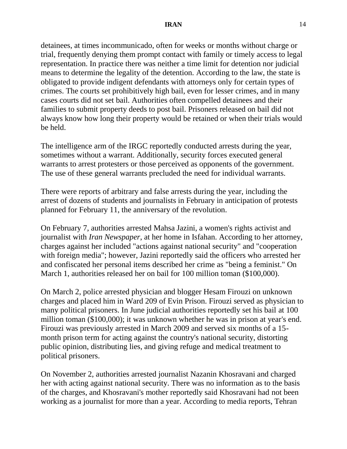detainees, at times incommunicado, often for weeks or months without charge or trial, frequently denying them prompt contact with family or timely access to legal representation. In practice there was neither a time limit for detention nor judicial means to determine the legality of the detention. According to the law, the state is obligated to provide indigent defendants with attorneys only for certain types of crimes. The courts set prohibitively high bail, even for lesser crimes, and in many cases courts did not set bail. Authorities often compelled detainees and their families to submit property deeds to post bail. Prisoners released on bail did not always know how long their property would be retained or when their trials would be held.

The intelligence arm of the IRGC reportedly conducted arrests during the year, sometimes without a warrant. Additionally, security forces executed general warrants to arrest protesters or those perceived as opponents of the government. The use of these general warrants precluded the need for individual warrants.

There were reports of arbitrary and false arrests during the year, including the arrest of dozens of students and journalists in February in anticipation of protests planned for February 11, the anniversary of the revolution.

On February 7, authorities arrested Mahsa Jazini, a women's rights activist and journalist with *Iran Newspaper*, at her home in Isfahan. According to her attorney, charges against her included "actions against national security" and "cooperation with foreign media"; however, Jazini reportedly said the officers who arrested her and confiscated her personal items described her crime as "being a feminist." On March 1, authorities released her on bail for 100 million toman (\$100,000).

On March 2, police arrested physician and blogger Hesam Firouzi on unknown charges and placed him in Ward 209 of Evin Prison. Firouzi served as physician to many political prisoners. In June judicial authorities reportedly set his bail at 100 million toman (\$100,000); it was unknown whether he was in prison at year's end. Firouzi was previously arrested in March 2009 and served six months of a 15 month prison term for acting against the country's national security, distorting public opinion, distributing lies, and giving refuge and medical treatment to political prisoners.

On November 2, authorities arrested journalist Nazanin Khosravani and charged her with acting against national security. There was no information as to the basis of the charges, and Khosravani's mother reportedly said Khosravani had not been working as a journalist for more than a year. According to media reports, Tehran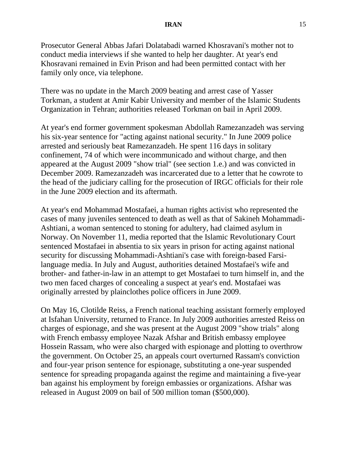#### **IRAN** 15

Prosecutor General Abbas Jafari Dolatabadi warned Khosravani's mother not to conduct media interviews if she wanted to help her daughter. At year's end Khosravani remained in Evin Prison and had been permitted contact with her family only once, via telephone.

There was no update in the March 2009 beating and arrest case of Yasser Torkman, a student at Amir Kabir University and member of the Islamic Students Organization in Tehran; authorities released Torkman on bail in April 2009.

At year's end former government spokesman Abdollah Ramezanzadeh was serving his six-year sentence for "acting against national security." In June 2009 police arrested and seriously beat Ramezanzadeh. He spent 116 days in solitary confinement, 74 of which were incommunicado and without charge, and then appeared at the August 2009 "show trial" (see section 1.e.) and was convicted in December 2009. Ramezanzadeh was incarcerated due to a letter that he cowrote to the head of the judiciary calling for the prosecution of IRGC officials for their role in the June 2009 election and its aftermath.

At year's end Mohammad Mostafaei, a human rights activist who represented the cases of many juveniles sentenced to death as well as that of Sakineh Mohammadi-Ashtiani, a woman sentenced to stoning for adultery, had claimed asylum in Norway. On November 11, media reported that the Islamic Revolutionary Court sentenced Mostafaei in absentia to six years in prison for acting against national security for discussing Mohammadi-Ashtiani's case with foreign-based Farsilanguage media. In July and August, authorities detained Mostafaei's wife and brother- and father-in-law in an attempt to get Mostafaei to turn himself in, and the two men faced charges of concealing a suspect at year's end. Mostafaei was originally arrested by plainclothes police officers in June 2009.

On May 16, Clotilde Reiss, a French national teaching assistant formerly employed at Isfahan University, returned to France. In July 2009 authorities arrested Reiss on charges of espionage, and she was present at the August 2009 "show trials" along with French embassy employee Nazak Afshar and British embassy employee Hossein Rassam, who were also charged with espionage and plotting to overthrow the government. On October 25, an appeals court overturned Rassam's conviction and four-year prison sentence for espionage, substituting a one-year suspended sentence for spreading propaganda against the regime and maintaining a five-year ban against his employment by foreign embassies or organizations. Afshar was released in August 2009 on bail of 500 million toman (\$500,000).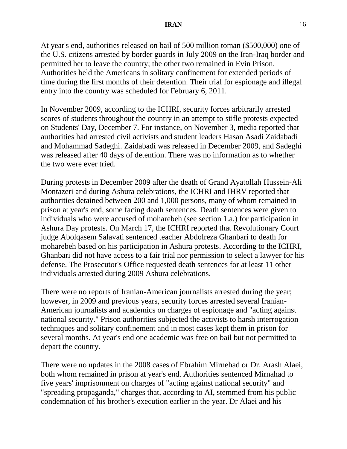At year's end, authorities released on bail of 500 million toman (\$500,000) one of the U.S. citizens arrested by border guards in July 2009 on the Iran-Iraq border and permitted her to leave the country; the other two remained in Evin Prison. Authorities held the Americans in solitary confinement for extended periods of time during the first months of their detention. Their trial for espionage and illegal entry into the country was scheduled for February 6, 2011.

In November 2009, according to the ICHRI, security forces arbitrarily arrested scores of students throughout the country in an attempt to stifle protests expected on Students' Day, December 7. For instance, on November 3, media reported that authorities had arrested civil activists and student leaders Hasan Asadi Zaidabadi and Mohammad Sadeghi. Zaidabadi was released in December 2009, and Sadeghi was released after 40 days of detention. There was no information as to whether the two were ever tried.

During protests in December 2009 after the death of Grand Ayatollah Hussein-Ali Montazeri and during Ashura celebrations, the ICHRI and IHRV reported that authorities detained between 200 and 1,000 persons, many of whom remained in prison at year's end, some facing death sentences. Death sentences were given to individuals who were accused of moharebeh (see section 1.a.) for participation in Ashura Day protests. On March 17, the ICHRI reported that Revolutionary Court judge Abolqasem Salavati sentenced teacher Abdolreza Ghanbari to death for moharebeh based on his participation in Ashura protests. According to the ICHRI, Ghanbari did not have access to a fair trial nor permission to select a lawyer for his defense. The Prosecutor's Office requested death sentences for at least 11 other individuals arrested during 2009 Ashura celebrations.

There were no reports of Iranian-American journalists arrested during the year; however, in 2009 and previous years, security forces arrested several Iranian-American journalists and academics on charges of espionage and "acting against national security." Prison authorities subjected the activists to harsh interrogation techniques and solitary confinement and in most cases kept them in prison for several months. At year's end one academic was free on bail but not permitted to depart the country.

There were no updates in the 2008 cases of Ebrahim Mirnehad or Dr. Arash Alaei, both whom remained in prison at year's end. Authorities sentenced Mirnahad to five years' imprisonment on charges of "acting against national security" and "spreading propaganda," charges that, according to AI, stemmed from his public condemnation of his brother's execution earlier in the year. Dr Alaei and his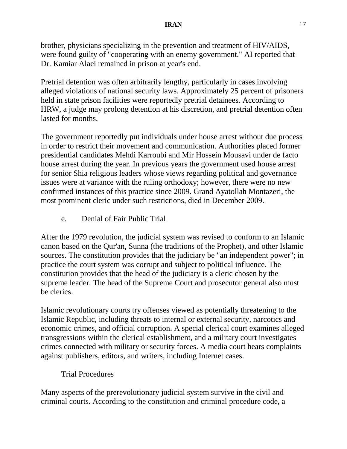brother, physicians specializing in the prevention and treatment of HIV/AIDS, were found guilty of "cooperating with an enemy government." AI reported that Dr. Kamiar Alaei remained in prison at year's end.

Pretrial detention was often arbitrarily lengthy, particularly in cases involving alleged violations of national security laws. Approximately 25 percent of prisoners held in state prison facilities were reportedly pretrial detainees. According to HRW, a judge may prolong detention at his discretion, and pretrial detention often lasted for months.

The government reportedly put individuals under house arrest without due process in order to restrict their movement and communication. Authorities placed former presidential candidates Mehdi Karroubi and Mir Hossein Mousavi under de facto house arrest during the year. In previous years the government used house arrest for senior Shia religious leaders whose views regarding political and governance issues were at variance with the ruling orthodoxy; however, there were no new confirmed instances of this practice since 2009. Grand Ayatollah Montazeri, the most prominent cleric under such restrictions, died in December 2009.

e. Denial of Fair Public Trial

After the 1979 revolution, the judicial system was revised to conform to an Islamic canon based on the Qur'an, Sunna (the traditions of the Prophet), and other Islamic sources. The constitution provides that the judiciary be "an independent power"; in practice the court system was corrupt and subject to political influence. The constitution provides that the head of the judiciary is a cleric chosen by the supreme leader. The head of the Supreme Court and prosecutor general also must be clerics.

Islamic revolutionary courts try offenses viewed as potentially threatening to the Islamic Republic, including threats to internal or external security, narcotics and economic crimes, and official corruption. A special clerical court examines alleged transgressions within the clerical establishment, and a military court investigates crimes connected with military or security forces. A media court hears complaints against publishers, editors, and writers, including Internet cases.

# Trial Procedures

Many aspects of the prerevolutionary judicial system survive in the civil and criminal courts. According to the constitution and criminal procedure code, a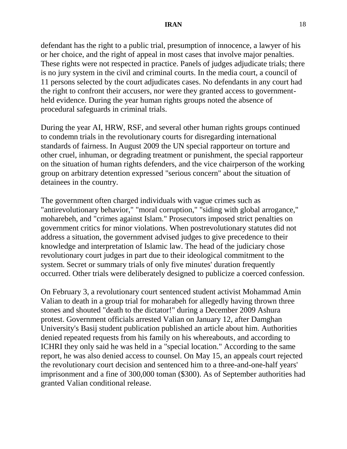defendant has the right to a public trial, presumption of innocence, a lawyer of his or her choice, and the right of appeal in most cases that involve major penalties. These rights were not respected in practice. Panels of judges adjudicate trials; there is no jury system in the civil and criminal courts. In the media court, a council of 11 persons selected by the court adjudicates cases. No defendants in any court had the right to confront their accusers, nor were they granted access to governmentheld evidence. During the year human rights groups noted the absence of procedural safeguards in criminal trials.

During the year AI, HRW, RSF, and several other human rights groups continued to condemn trials in the revolutionary courts for disregarding international standards of fairness. In August 2009 the UN special rapporteur on torture and other cruel, inhuman, or degrading treatment or punishment, the special rapporteur on the situation of human rights defenders, and the vice chairperson of the working group on arbitrary detention expressed "serious concern" about the situation of detainees in the country.

The government often charged individuals with vague crimes such as "antirevolutionary behavior," "moral corruption," "siding with global arrogance," moharebeh, and "crimes against Islam." Prosecutors imposed strict penalties on government critics for minor violations. When postrevolutionary statutes did not address a situation, the government advised judges to give precedence to their knowledge and interpretation of Islamic law. The head of the judiciary chose revolutionary court judges in part due to their ideological commitment to the system. Secret or summary trials of only five minutes' duration frequently occurred. Other trials were deliberately designed to publicize a coerced confession.

On February 3, a revolutionary court sentenced student activist Mohammad Amin Valian to death in a group trial for moharabeh for allegedly having thrown three stones and shouted "death to the dictator!" during a December 2009 Ashura protest. Government officials arrested Valian on January 12, after Damghan University's Basij student publication published an article about him. Authorities denied repeated requests from his family on his whereabouts, and according to ICHRI they only said he was held in a "special location." According to the same report, he was also denied access to counsel. On May 15, an appeals court rejected the revolutionary court decision and sentenced him to a three-and-one-half years' imprisonment and a fine of 300,000 toman (\$300). As of September authorities had granted Valian conditional release.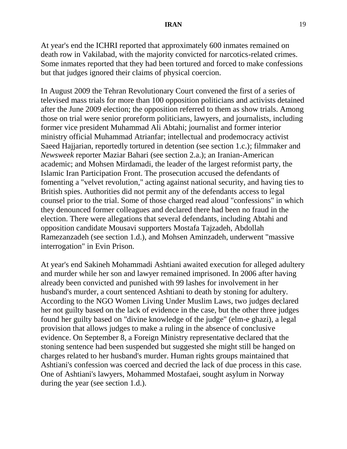At year's end the ICHRI reported that approximately 600 inmates remained on death row in Vakilabad, with the majority convicted for narcotics-related crimes. Some inmates reported that they had been tortured and forced to make confessions but that judges ignored their claims of physical coercion.

In August 2009 the Tehran Revolutionary Court convened the first of a series of televised mass trials for more than 100 opposition politicians and activists detained after the June 2009 election; the opposition referred to them as show trials. Among those on trial were senior proreform politicians, lawyers, and journalists, including former vice president Muhammad Ali Abtahi; journalist and former interior ministry official Muhammad Atrianfar; intellectual and prodemocracy activist Saeed Hajjarian, reportedly tortured in detention (see section 1.c.); filmmaker and *Newsweek* reporter Maziar Bahari (see section 2.a.); an Iranian-American academic; and Mohsen Mirdamadi, the leader of the largest reformist party, the Islamic Iran Participation Front. The prosecution accused the defendants of fomenting a "velvet revolution," acting against national security, and having ties to British spies. Authorities did not permit any of the defendants access to legal counsel prior to the trial. Some of those charged read aloud "confessions" in which they denounced former colleagues and declared there had been no fraud in the election. There were allegations that several defendants, including Abtahi and opposition candidate Mousavi supporters Mostafa Tajzadeh, Abdollah Ramezanzadeh (see section 1.d.), and Mohsen Aminzadeh, underwent "massive interrogation" in Evin Prison.

At year's end Sakineh Mohammadi Ashtiani awaited execution for alleged adultery and murder while her son and lawyer remained imprisoned. In 2006 after having already been convicted and punished with 99 lashes for involvement in her husband's murder, a court sentenced Ashtiani to death by stoning for adultery. According to the NGO Women Living Under Muslim Laws, two judges declared her not guilty based on the lack of evidence in the case, but the other three judges found her guilty based on "divine knowledge of the judge" (elm-e ghazi), a legal provision that allows judges to make a ruling in the absence of conclusive evidence. On September 8, a Foreign Ministry representative declared that the stoning sentence had been suspended but suggested she might still be hanged on charges related to her husband's murder. Human rights groups maintained that Ashtiani's confession was coerced and decried the lack of due process in this case. One of Ashtiani's lawyers, Mohammed Mostafaei, sought asylum in Norway during the year (see section 1.d.).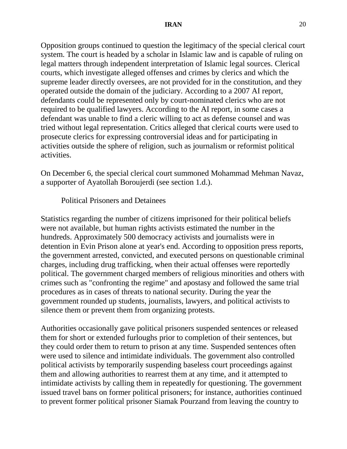Opposition groups continued to question the legitimacy of the special clerical court system. The court is headed by a scholar in Islamic law and is capable of ruling on legal matters through independent interpretation of Islamic legal sources. Clerical courts, which investigate alleged offenses and crimes by clerics and which the supreme leader directly oversees, are not provided for in the constitution, and they operated outside the domain of the judiciary. According to a 2007 AI report, defendants could be represented only by court-nominated clerics who are not required to be qualified lawyers. According to the AI report, in some cases a defendant was unable to find a cleric willing to act as defense counsel and was tried without legal representation. Critics alleged that clerical courts were used to prosecute clerics for expressing controversial ideas and for participating in activities outside the sphere of religion, such as journalism or reformist political activities.

On December 6, the special clerical court summoned Mohammad Mehman Navaz, a supporter of Ayatollah Boroujerdi (see section 1.d.).

Political Prisoners and Detainees

Statistics regarding the number of citizens imprisoned for their political beliefs were not available, but human rights activists estimated the number in the hundreds. Approximately 500 democracy activists and journalists were in detention in Evin Prison alone at year's end. According to opposition press reports, the government arrested, convicted, and executed persons on questionable criminal charges, including drug trafficking, when their actual offenses were reportedly political. The government charged members of religious minorities and others with crimes such as "confronting the regime" and apostasy and followed the same trial procedures as in cases of threats to national security. During the year the government rounded up students, journalists, lawyers, and political activists to silence them or prevent them from organizing protests.

Authorities occasionally gave political prisoners suspended sentences or released them for short or extended furloughs prior to completion of their sentences, but they could order them to return to prison at any time. Suspended sentences often were used to silence and intimidate individuals. The government also controlled political activists by temporarily suspending baseless court proceedings against them and allowing authorities to rearrest them at any time, and it attempted to intimidate activists by calling them in repeatedly for questioning. The government issued travel bans on former political prisoners; for instance, authorities continued to prevent former political prisoner Siamak Pourzand from leaving the country to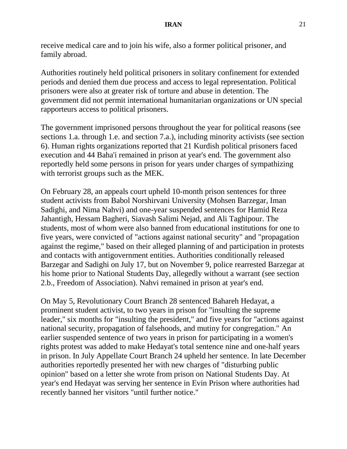receive medical care and to join his wife, also a former political prisoner, and family abroad.

Authorities routinely held political prisoners in solitary confinement for extended periods and denied them due process and access to legal representation. Political prisoners were also at greater risk of torture and abuse in detention. The government did not permit international humanitarian organizations or UN special rapporteurs access to political prisoners.

The government imprisoned persons throughout the year for political reasons (see sections 1.a. through 1.e. and section 7.a.), including minority activists (see section 6). Human rights organizations reported that 21 Kurdish political prisoners faced execution and 44 Baha'i remained in prison at year's end. The government also reportedly held some persons in prison for years under charges of sympathizing with terrorist groups such as the MEK.

On February 28, an appeals court upheld 10-month prison sentences for three student activists from Babol Norshirvani University (Mohsen Barzegar, Iman Sadighi, and Nima Nahvi) and one-year suspended sentences for Hamid Reza Jahantigh, Hessam Bagheri, Siavash Salimi Nejad, and Ali Taghipour. The students, most of whom were also banned from educational institutions for one to five years, were convicted of "actions against national security" and "propagation against the regime," based on their alleged planning of and participation in protests and contacts with antigovernment entities. Authorities conditionally released Barzegar and Sadighi on July 17, but on November 9, police rearrested Barzegar at his home prior to National Students Day, allegedly without a warrant (see section 2.b., Freedom of Association). Nahvi remained in prison at year's end.

On May 5, Revolutionary Court Branch 28 sentenced Bahareh Hedayat, a prominent student activist, to two years in prison for "insulting the supreme leader," six months for "insulting the president," and five years for "actions against national security, propagation of falsehoods, and mutiny for congregation." An earlier suspended sentence of two years in prison for participating in a women's rights protest was added to make Hedayat's total sentence nine and one-half years in prison. In July Appellate Court Branch 24 upheld her sentence. In late December authorities reportedly presented her with new charges of "disturbing public opinion" based on a letter she wrote from prison on National Students Day. At year's end Hedayat was serving her sentence in Evin Prison where authorities had recently banned her visitors "until further notice."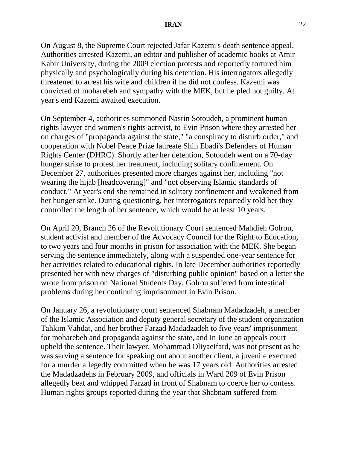On August 8, the Supreme Court rejected Jafar Kazemi's death sentence appeal. Authorities arrested Kazemi, an editor and publisher of academic books at Amir Kabir University, during the 2009 election protests and reportedly tortured him physically and psychologically during his detention. His interrogators allegedly threatened to arrest his wife and children if he did not confess. Kazemi was convicted of moharebeh and sympathy with the MEK, but he pled not guilty. At year's end Kazemi awaited execution.

On September 4, authorities summoned Nasrin Sotoudeh, a prominent human rights lawyer and women's rights activist, to Evin Prison where they arrested her on charges of "propaganda against the state," "a conspiracy to disturb order," and cooperation with Nobel Peace Prize laureate Shin Ebadi's Defenders of Human Rights Center (DHRC). Shortly after her detention, Sotoudeh went on a 70-day hunger strike to protest her treatment, including solitary confinement. On December 27, authorities presented more charges against her, including "not wearing the hijab [headcovering]" and "not observing Islamic standards of conduct." At year's end she remained in solitary confinement and weakened from her hunger strike. During questioning, her interrogators reportedly told her they controlled the length of her sentence, which would be at least 10 years.

On April 20, Branch 26 of the Revolutionary Court sentenced Mahdieh Golrou, student activist and member of the Advocacy Council for the Right to Education, to two years and four months in prison for association with the MEK. She began serving the sentence immediately, along with a suspended one-year sentence for her activities related to educational rights. In late December authorities reportedly presented her with new charges of "disturbing public opinion" based on a letter she wrote from prison on National Students Day. Golrou suffered from intestinal problems during her continuing imprisonment in Evin Prison.

On January 26, a revolutionary court sentenced Shabnam Madadzadeh, a member of the Islamic Association and deputy general secretary of the student organization Tahkim Vahdat, and her brother Farzad Madadzadeh to five years' imprisonment for moharebeh and propaganda against the state, and in June an appeals court upheld the sentence. Their lawyer, Mohammad Oliyaeifard, was not present as he was serving a sentence for speaking out about another client, a juvenile executed for a murder allegedly committed when he was 17 years old. Authorities arrested the Madadzadehs in February 2009, and officials in Ward 209 of Evin Prison allegedly beat and whipped Farzad in front of Shabnam to coerce her to confess. Human rights groups reported during the year that Shabnam suffered from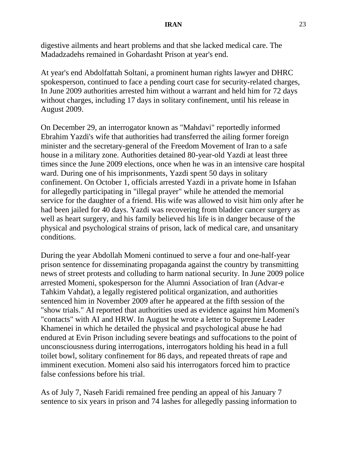digestive ailments and heart problems and that she lacked medical care. The Madadzadehs remained in Gohardasht Prison at year's end.

At year's end Abdolfattah Soltani, a prominent human rights lawyer and DHRC spokesperson, continued to face a pending court case for security-related charges, In June 2009 authorities arrested him without a warrant and held him for 72 days without charges, including 17 days in solitary confinement, until his release in August 2009.

On December 29, an interrogator known as "Mahdavi" reportedly informed Ebrahim Yazdi's wife that authorities had transferred the ailing former foreign minister and the secretary-general of the Freedom Movement of Iran to a safe house in a military zone. Authorities detained 80-year-old Yazdi at least three times since the June 2009 elections, once when he was in an intensive care hospital ward. During one of his imprisonments, Yazdi spent 50 days in solitary confinement. On October 1, officials arrested Yazdi in a private home in Isfahan for allegedly participating in "illegal prayer" while he attended the memorial service for the daughter of a friend. His wife was allowed to visit him only after he had been jailed for 40 days. Yazdi was recovering from bladder cancer surgery as well as heart surgery, and his family believed his life is in danger because of the physical and psychological strains of prison, lack of medical care, and unsanitary conditions.

During the year Abdollah Momeni continued to serve a four and one-half-year prison sentence for disseminating propaganda against the country by transmitting news of street protests and colluding to harm national security. In June 2009 police arrested Momeni, spokesperson for the Alumni Association of Iran (Advar-e Tahkim Vahdat), a legally registered political organization, and authorities sentenced him in November 2009 after he appeared at the fifth session of the "show trials." AI reported that authorities used as evidence against him Momeni's "contacts" with AI and HRW. In August he wrote a letter to Supreme Leader Khamenei in which he detailed the physical and psychological abuse he had endured at Evin Prison including severe beatings and suffocations to the point of unconsciousness during interrogations, interrogators holding his head in a full toilet bowl, solitary confinement for 86 days, and repeated threats of rape and imminent execution. Momeni also said his interrogators forced him to practice false confessions before his trial.

As of July 7, Naseh Faridi remained free pending an appeal of his January 7 sentence to six years in prison and 74 lashes for allegedly passing information to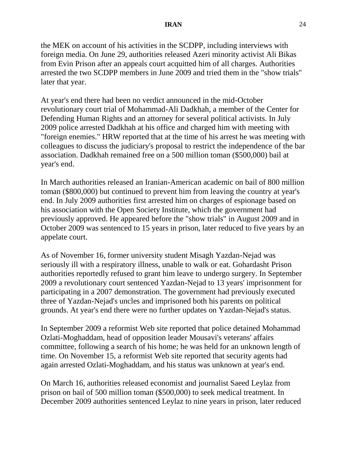the MEK on account of his activities in the SCDPP, including interviews with foreign media. On June 29, authorities released Azeri minority activist Ali Bikas from Evin Prison after an appeals court acquitted him of all charges. Authorities arrested the two SCDPP members in June 2009 and tried them in the "show trials" later that year.

At year's end there had been no verdict announced in the mid-October revolutionary court trial of Mohammad-Ali Dadkhah, a member of the Center for Defending Human Rights and an attorney for several political activists. In July 2009 police arrested Dadkhah at his office and charged him with meeting with "foreign enemies." HRW reported that at the time of his arrest he was meeting with colleagues to discuss the judiciary's proposal to restrict the independence of the bar association. Dadkhah remained free on a 500 million toman (\$500,000) bail at year's end.

In March authorities released an Iranian-American academic on bail of 800 million toman (\$800,000) but continued to prevent him from leaving the country at year's end. In July 2009 authorities first arrested him on charges of espionage based on his association with the Open Society Institute, which the government had previously approved. He appeared before the "show trials" in August 2009 and in October 2009 was sentenced to 15 years in prison, later reduced to five years by an appelate court.

As of November 16, former university student Misagh Yazdan-Nejad was seriously ill with a respiratory illness, unable to walk or eat. Gohardasht Prison authorities reportedly refused to grant him leave to undergo surgery. In September 2009 a revolutionary court sentenced Yazdan-Nejad to 13 years' imprisonment for participating in a 2007 demonstration. The government had previously executed three of Yazdan-Nejad's uncles and imprisoned both his parents on political grounds. At year's end there were no further updates on Yazdan-Nejad's status.

In September 2009 a reformist Web site reported that police detained Mohammad Ozlati-Moghaddam, head of opposition leader Mousavi's veterans' affairs committee, following a search of his home; he was held for an unknown length of time. On November 15, a reformist Web site reported that security agents had again arrested Ozlati-Moghaddam, and his status was unknown at year's end.

On March 16, authorities released economist and journalist Saeed Leylaz from prison on bail of 500 million toman (\$500,000) to seek medical treatment. In December 2009 authorities sentenced Leylaz to nine years in prison, later reduced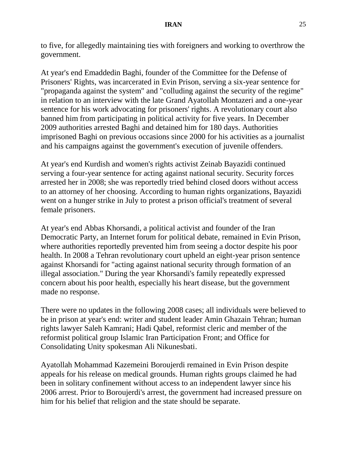to five, for allegedly maintaining ties with foreigners and working to overthrow the government.

At year's end Emaddedin Baghi, founder of the Committee for the Defense of Prisoners' Rights, was incarcerated in Evin Prison, serving a six-year sentence for "propaganda against the system" and "colluding against the security of the regime" in relation to an interview with the late Grand Ayatollah Montazeri and a one-year sentence for his work advocating for prisoners' rights. A revolutionary court also banned him from participating in political activity for five years. In December 2009 authorities arrested Baghi and detained him for 180 days. Authorities imprisoned Baghi on previous occasions since 2000 for his activities as a journalist and his campaigns against the government's execution of juvenile offenders.

At year's end Kurdish and women's rights activist Zeinab Bayazidi continued serving a four-year sentence for acting against national security. Security forces arrested her in 2008; she was reportedly tried behind closed doors without access to an attorney of her choosing. According to human rights organizations, Bayazidi went on a hunger strike in July to protest a prison official's treatment of several female prisoners.

At year's end Abbas Khorsandi, a political activist and founder of the Iran Democratic Party, an Internet forum for political debate, remained in Evin Prison, where authorities reportedly prevented him from seeing a doctor despite his poor health. In 2008 a Tehran revolutionary court upheld an eight-year prison sentence against Khorsandi for "acting against national security through formation of an illegal association." During the year Khorsandi's family repeatedly expressed concern about his poor health, especially his heart disease, but the government made no response.

There were no updates in the following 2008 cases; all individuals were believed to be in prison at year's end: writer and student leader Amin Ghazain Tehran; human rights lawyer Saleh Kamrani; Hadi Qabel, reformist cleric and member of the reformist political group Islamic Iran Participation Front; and Office for Consolidating Unity spokesman Ali Nikunesbati.

Ayatollah Mohammad Kazemeini Boroujerdi remained in Evin Prison despite appeals for his release on medical grounds. Human rights groups claimed he had been in solitary confinement without access to an independent lawyer since his 2006 arrest. Prior to Boroujerdi's arrest, the government had increased pressure on him for his belief that religion and the state should be separate.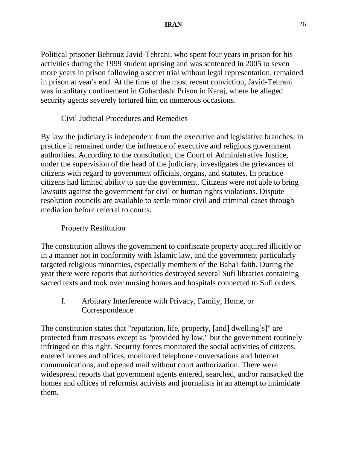Political prisoner Behrouz Javid-Tehrani, who spent four years in prison for his activities during the 1999 student uprising and was sentenced in 2005 to seven more years in prison following a secret trial without legal representation, remained in prison at year's end. At the time of the most recent conviction, Javid-Tehrani was in solitary confinement in Gohardasht Prison in Karaj, where he alleged security agents severely tortured him on numerous occasions.

Civil Judicial Procedures and Remedies

By law the judiciary is independent from the executive and legislative branches; in practice it remained under the influence of executive and religious government authorities. According to the constitution, the Court of Administrative Justice, under the supervision of the head of the judiciary, investigates the grievances of citizens with regard to government officials, organs, and statutes. In practice citizens had limited ability to sue the government. Citizens were not able to bring lawsuits against the government for civil or human rights violations. Dispute resolution councils are available to settle minor civil and criminal cases through mediation before referral to courts.

# Property Restitution

The constitution allows the government to confiscate property acquired illicitly or in a manner not in conformity with Islamic law, and the government particularly targeted religious minorities, especially members of the Baha'i faith. During the year there were reports that authorities destroyed several Sufi libraries containing sacred texts and took over nursing homes and hospitals connected to Sufi orders.

f. Arbitrary Interference with Privacy, Family, Home, or Correspondence

The constitution states that "reputation, life, property, [and] dwelling[s]" are protected from trespass except as "provided by law," but the government routinely infringed on this right. Security forces monitored the social activities of citizens, entered homes and offices, monitored telephone conversations and Internet communications, and opened mail without court authorization. There were widespread reports that government agents entered, searched, and/or ransacked the homes and offices of reformist activists and journalists in an attempt to intimidate them.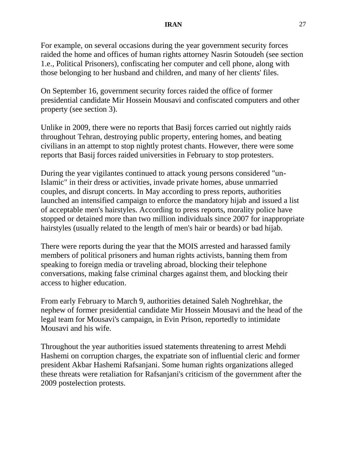### **IRAN** 27

For example, on several occasions during the year government security forces raided the home and offices of human rights attorney Nasrin Sotoudeh (see section 1.e., Political Prisoners), confiscating her computer and cell phone, along with those belonging to her husband and children, and many of her clients' files.

On September 16, government security forces raided the office of former presidential candidate Mir Hossein Mousavi and confiscated computers and other property (see section 3).

Unlike in 2009, there were no reports that Basij forces carried out nightly raids throughout Tehran, destroying public property, entering homes, and beating civilians in an attempt to stop nightly protest chants. However, there were some reports that Basij forces raided universities in February to stop protesters.

During the year vigilantes continued to attack young persons considered "un-Islamic" in their dress or activities, invade private homes, abuse unmarried couples, and disrupt concerts. In May according to press reports, authorities launched an intensified campaign to enforce the mandatory hijab and issued a list of acceptable men's hairstyles. According to press reports, morality police have stopped or detained more than two million individuals since 2007 for inappropriate hairstyles (usually related to the length of men's hair or beards) or bad hijab.

There were reports during the year that the MOIS arrested and harassed family members of political prisoners and human rights activists, banning them from speaking to foreign media or traveling abroad, blocking their telephone conversations, making false criminal charges against them, and blocking their access to higher education.

From early February to March 9, authorities detained Saleh Noghrehkar, the nephew of former presidential candidate Mir Hossein Mousavi and the head of the legal team for Mousavi's campaign, in Evin Prison, reportedly to intimidate Mousavi and his wife.

Throughout the year authorities issued statements threatening to arrest Mehdi Hashemi on corruption charges, the expatriate son of influential cleric and former president Akbar Hashemi Rafsanjani. Some human rights organizations alleged these threats were retaliation for Rafsanjani's criticism of the government after the 2009 postelection protests.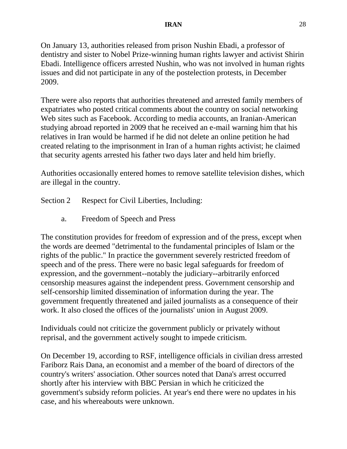On January 13, authorities released from prison Nushin Ebadi, a professor of dentistry and sister to Nobel Prize-winning human rights lawyer and activist Shirin Ebadi. Intelligence officers arrested Nushin, who was not involved in human rights issues and did not participate in any of the postelection protests, in December 2009.

There were also reports that authorities threatened and arrested family members of expatriates who posted critical comments about the country on social networking Web sites such as Facebook. According to media accounts, an Iranian-American studying abroad reported in 2009 that he received an e-mail warning him that his relatives in Iran would be harmed if he did not delete an online petition he had created relating to the imprisonment in Iran of a human rights activist; he claimed that security agents arrested his father two days later and held him briefly.

Authorities occasionally entered homes to remove satellite television dishes, which are illegal in the country.

- Section 2 Respect for Civil Liberties, Including:
	- a. Freedom of Speech and Press

The constitution provides for freedom of expression and of the press, except when the words are deemed "detrimental to the fundamental principles of Islam or the rights of the public." In practice the government severely restricted freedom of speech and of the press. There were no basic legal safeguards for freedom of expression, and the government--notably the judiciary--arbitrarily enforced censorship measures against the independent press. Government censorship and self-censorship limited dissemination of information during the year. The government frequently threatened and jailed journalists as a consequence of their work. It also closed the offices of the journalists' union in August 2009.

Individuals could not criticize the government publicly or privately without reprisal, and the government actively sought to impede criticism.

On December 19, according to RSF, intelligence officials in civilian dress arrested Fariborz Rais Dana, an economist and a member of the board of directors of the country's writers' association. Other sources noted that Dana's arrest occurred shortly after his interview with BBC Persian in which he criticized the government's subsidy reform policies. At year's end there were no updates in his case, and his whereabouts were unknown.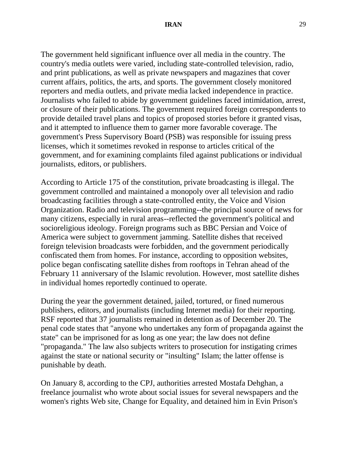The government held significant influence over all media in the country. The country's media outlets were varied, including state-controlled television, radio, and print publications, as well as private newspapers and magazines that cover current affairs, politics, the arts, and sports. The government closely monitored reporters and media outlets, and private media lacked independence in practice. Journalists who failed to abide by government guidelines faced intimidation, arrest, or closure of their publications. The government required foreign correspondents to provide detailed travel plans and topics of proposed stories before it granted visas, and it attempted to influence them to garner more favorable coverage. The government's Press Supervisory Board (PSB) was responsible for issuing press licenses, which it sometimes revoked in response to articles critical of the government, and for examining complaints filed against publications or individual journalists, editors, or publishers.

According to Article 175 of the constitution, private broadcasting is illegal. The government controlled and maintained a monopoly over all television and radio broadcasting facilities through a state-controlled entity, the Voice and Vision Organization. Radio and television programming--the principal source of news for many citizens, especially in rural areas--reflected the government's political and socioreligious ideology. Foreign programs such as BBC Persian and Voice of America were subject to government jamming. Satellite dishes that received foreign television broadcasts were forbidden, and the government periodically confiscated them from homes. For instance, according to opposition websites, police began confiscating satellite dishes from rooftops in Tehran ahead of the February 11 anniversary of the Islamic revolution. However, most satellite dishes in individual homes reportedly continued to operate.

During the year the government detained, jailed, tortured, or fined numerous publishers, editors, and journalists (including Internet media) for their reporting. RSF reported that 37 journalists remained in detention as of December 20. The penal code states that "anyone who undertakes any form of propaganda against the state" can be imprisoned for as long as one year; the law does not define "propaganda." The law also subjects writers to prosecution for instigating crimes against the state or national security or "insulting" Islam; the latter offense is punishable by death.

On January 8, according to the CPJ, authorities arrested Mostafa Dehghan, a freelance journalist who wrote about social issues for several newspapers and the women's rights Web site, Change for Equality, and detained him in Evin Prison's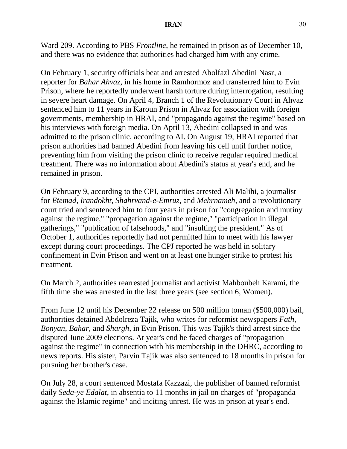### **IRAN** 30

Ward 209. According to PBS *Frontline*, he remained in prison as of December 10, and there was no evidence that authorities had charged him with any crime.

On February 1, security officials beat and arrested Abolfazl Abedini Nasr, a reporter for *Bahar Ahvaz*, in his home in Ramhormoz and transferred him to Evin Prison, where he reportedly underwent harsh torture during interrogation, resulting in severe heart damage. On April 4, Branch 1 of the Revolutionary Court in Ahvaz sentenced him to 11 years in Karoun Prison in Ahvaz for association with foreign governments, membership in HRAI, and "propaganda against the regime" based on his interviews with foreign media. On April 13, Abedini collapsed in and was admitted to the prison clinic, according to AI. On August 19, HRAI reported that prison authorities had banned Abedini from leaving his cell until further notice, preventing him from visiting the prison clinic to receive regular required medical treatment. There was no information about Abedini's status at year's end, and he remained in prison.

On February 9, according to the CPJ, authorities arrested Ali Malihi, a journalist for *Etemad*, *Irandokht*, *Shahrvand-e-Emruz*, and *Mehrnameh*, and a revolutionary court tried and sentenced him to four years in prison for "congregation and mutiny against the regime," "propagation against the regime," "participation in illegal gatherings," "publication of falsehoods," and "insulting the president." As of October 1, authorities reportedly had not permitted him to meet with his lawyer except during court proceedings. The CPJ reported he was held in solitary confinement in Evin Prison and went on at least one hunger strike to protest his treatment.

On March 2, authorities rearrested journalist and activist Mahboubeh Karami, the fifth time she was arrested in the last three years (see section 6, Women).

From June 12 until his December 22 release on 500 million toman (\$500,000) bail, authorities detained Abdolreza Tajik, who writes for reformist newspapers *Fath*, *Bonyan*, *Bahar*, and *Shargh*, in Evin Prison. This was Tajik's third arrest since the disputed June 2009 elections. At year's end he faced charges of "propagation against the regime" in connection with his membership in the DHRC, according to [news reports.](http://www.radiofarda.com/archive/news/20100715/143/143.html?id=2101035) His sister, Parvin Tajik was also sentenced to 18 months in prison for pursuing her brother's case.

On July 28, a court sentenced Mostafa Kazzazi, the publisher of banned reformist daily *Seda-ye Edalat*, in absentia to 11 months in jail on charges of "propaganda against the Islamic regime" and inciting unrest. He was in prison at year's end.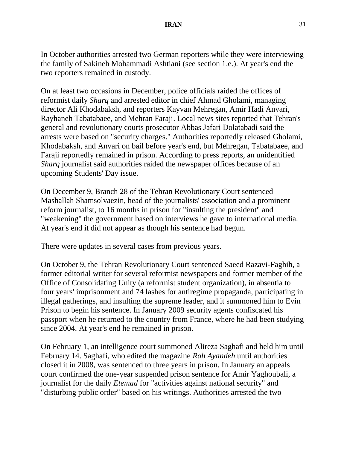In October authorities arrested two German reporters while they were interviewing the family of Sakineh Mohammadi Ashtiani (see section 1.e.). At year's end the two reporters remained in custody.

On at least two occasions in December, police officials raided the offices of reformist daily *Sharq* and arrested editor in chief Ahmad Gholami, managing director Ali Khodabaksh, and reporters Kayvan Mehregan, Amir Hadi Anvari, Rayhaneh Tabatabaee, and Mehran Faraji. Local news sites reported that Tehran's general and revolutionary courts prosecutor Abbas Jafari Dolatabadi said the arrests were based on "security charges." Authorities reportedly released Gholami, Khodabaksh, and Anvari on bail before year's end, but Mehregan, Tabatabaee, and Faraji reportedly remained in prison. According to press reports, an unidentified *Sharq* journalist said authorities raided the newspaper offices because of an upcoming Students' Day issue.

On December 9, Branch 28 of the Tehran Revolutionary Court sentenced Mashallah Shamsolvaezin, head of the journalists' association and a prominent reform journalist, to 16 months in prison for "insulting the president" and "weakening" the government based on interviews he gave to international media. At year's end it did not appear as though his sentence had begun.

There were updates in several cases from previous years.

On October 9, the Tehran Revolutionary Court sentenced Saeed Razavi-Faghih, a former editorial writer for several reformist newspapers and former member of the Office of Consolidating Unity (a reformist student organization), in absentia to four years' imprisonment and 74 lashes for antiregime propaganda, participating in illegal gatherings, and insulting the supreme leader, and it summoned him to Evin Prison to begin his sentence. In January 2009 security agents confiscated his passport when he returned to the country from France, where he had been studying since 2004. At year's end he remained in prison.

On February 1, an intelligence court summoned Alireza Saghafi and held him until February 14. Saghafi, who edited the magazine *Rah Ayandeh* until authorities closed it in 2008, was sentenced to three years in prison. In January an appeals court confirmed the one-year suspended prison sentence for Amir Yaghoubali, a journalist for the daily *Etemad* for "activities against national security" and "disturbing public order" based on his writings. Authorities arrested the two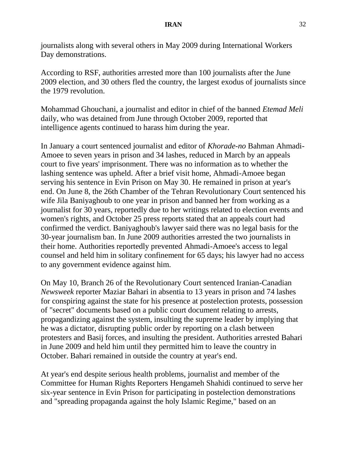journalists along with several others in May 2009 during International Workers Day demonstrations.

According to RSF, authorities arrested more than 100 journalists after the June 2009 election, and 30 others fled the country, the largest exodus of journalists since the 1979 revolution.

Mohammad Ghouchani, a journalist and editor in chief of the banned *Etemad Meli* daily, who was detained from June through October 2009, reported that intelligence agents continued to harass him during the year.

In January a court sentenced journalist and editor of *Khorade-no* Bahman Ahmadi-Amoee to seven years in prison and 34 lashes, reduced in March by an appeals court to five years' imprisonment. There was no information as to whether the lashing sentence was upheld. After a brief visit home, Ahmadi-Amoee began serving his sentence in Evin Prison on May 30. He remained in prison at year's end. On June 8, the 26th Chamber of the Tehran Revolutionary Court sentenced his wife Jila Baniyaghoub to one year in prison and banned her from working as a journalist for 30 years, reportedly due to her writings related to election events and women's rights, and October 25 press reports stated that an appeals court had confirmed the verdict. Baniyaghoub's lawyer said there was no legal basis for the 30-year journalism ban. In June 2009 authorities arrested the two journalists in their home. Authorities reportedly prevented Ahmadi-Amoee's access to legal counsel and held him in solitary confinement for 65 days; his lawyer had no access to any government evidence against him.

On May 10, Branch 26 of the Revolutionary Court sentenced Iranian-Canadian *Newsweek* reporter Maziar Bahari in absentia to 13 years in prison and 74 lashes for conspiring against the state for his presence at postelection protests, possession of "secret" documents based on a public court document relating to arrests, propagandizing against the system, insulting the supreme leader by implying that he was a dictator, disrupting public order by reporting on a clash between protesters and Basij forces, and insulting the president. Authorities arrested Bahari in June 2009 and held him until they permitted him to leave the country in October. Bahari remained in outside the country at year's end.

At year's end despite serious health problems, journalist and member of the Committee for Human Rights Reporters Hengameh Shahidi continued to serve her six-year sentence in Evin Prison for participating in postelection demonstrations and "spreading propaganda against the holy Islamic Regime," based on an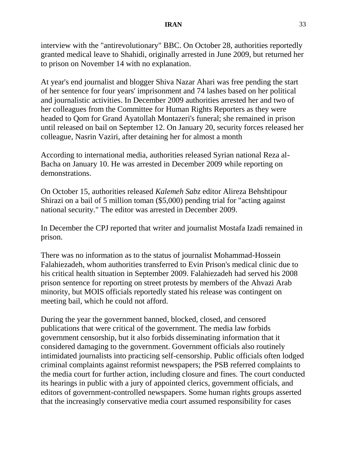interview with the "antirevolutionary" BBC. On October 28, authorities reportedly granted medical leave to Shahidi, originally arrested in June 2009, but returned her to prison on November 14 with no explanation.

At year's end journalist and blogger Shiva Nazar Ahari was free pending the start of her sentence for four years' imprisonment and 74 lashes based on her political and journalistic activities. In December 2009 authorities arrested her and two of her colleagues from the Committee for Human Rights Reporters as they were headed to Qom for Grand Ayatollah Montazeri's funeral; she remained in prison until released on bail on September 12. On January 20, security forces released her colleague, Nasrin Vaziri, after detaining her for almost a month

According to international media, authorities released Syrian national Reza al-Bacha on January 10. He was arrested in December 2009 while reporting on demonstrations.

On October 15, authorities released *Kalemeh Sabz* editor Alireza Behshtipour Shirazi on a bail of 5 million toman (\$5,000) pending trial for "acting against national security." The editor was arrested in December 2009.

In December the CPJ reported that writer and journalist Mostafa Izadi remained in prison.

There was no information as to the status of journalist Mohammad-Hossein Falahiezadeh, whom authorities transferred to Evin Prison's medical clinic due to his critical health situation in September 2009. Falahiezadeh had served his 2008 prison sentence for reporting on street protests by members of the Ahvazi Arab minority, but MOIS officials reportedly stated his release was contingent on meeting bail, which he could not afford.

During the year the government banned, blocked, closed, and censored publications that were critical of the government. The media law forbids government censorship, but it also forbids disseminating information that it considered damaging to the government. Government officials also routinely intimidated journalists into practicing self-censorship. Public officials often lodged criminal complaints against reformist newspapers; the PSB referred complaints to the media court for further action, including closure and fines. The court conducted its hearings in public with a jury of appointed clerics, government officials, and editors of government-controlled newspapers. Some human rights groups asserted that the increasingly conservative media court assumed responsibility for cases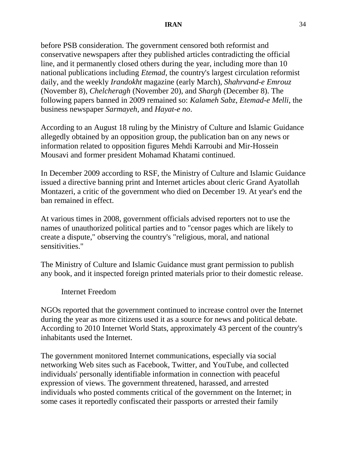before PSB consideration. The government censored both reformist and conservative newspapers after they published articles contradicting the official line, and it permanently closed others during the year, including more than 10 national publications including *Etemad*, the country's largest circulation reformist daily, and the weekly *Irandokht* magazine (early March), *Shahrvand-e Emrouz* (November 8), *Chelcheragh* (November 20), and *Shargh* (December 8). The following papers banned in 2009 remained so: *Kalameh Sabz*, *Etemad-e Melli*, the business newspaper *Sarmayeh*, and *Hayat-e no*.

According to an August 18 ruling by the Ministry of Culture and Islamic Guidance allegedly obtained by an opposition group, the publication ban on any news or information related to opposition figures Mehdi Karroubi and Mir-Hossein Mousavi and former president Mohamad Khatami continued.

In December 2009 according to RSF, the Ministry of Culture and Islamic Guidance issued a directive banning print and Internet articles about cleric Grand Ayatollah Montazeri, a critic of the government who died on December 19. At year's end the ban remained in effect.

At various times in 2008, government officials advised reporters not to use the names of unauthorized political parties and to "censor pages which are likely to create a dispute," observing the country's "religious, moral, and national sensitivities."

The Ministry of Culture and Islamic Guidance must grant permission to publish any book, and it inspected foreign printed materials prior to their domestic release.

Internet Freedom

NGOs reported that the government continued to increase control over the Internet during the year as more citizens used it as a source for news and political debate. According to 2010 Internet World Stats, approximately 43 percent of the country's inhabitants used the Internet.

The government monitored Internet communications, especially via social networking Web sites such as Facebook, Twitter, and YouTube, and collected individuals' personally identifiable information in connection with peaceful expression of views. The government threatened, harassed, and arrested individuals who posted comments critical of the government on the Internet; in some cases it reportedly confiscated their passports or arrested their family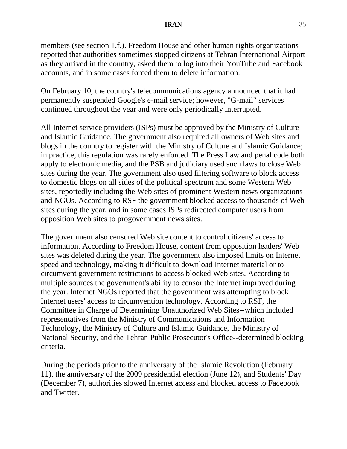members (see section 1.f.). Freedom House and other human rights organizations reported that authorities sometimes stopped citizens at Tehran International Airport as they arrived in the country, asked them to log into their YouTube and Facebook accounts, and in some cases forced them to delete information.

On February 10, the country's telecommunications agency announced that it had permanently suspended Google's e-mail service; however, "G-mail" services continued throughout the year and were only periodically interrupted.

All Internet service providers (ISPs) must be approved by the Ministry of Culture and Islamic Guidance. The government also required all owners of Web sites and blogs in the country to register with the Ministry of Culture and Islamic Guidance; in practice, this regulation was rarely enforced. The Press Law and penal code both apply to electronic media, and the PSB and judiciary used such laws to close Web sites during the year. The government also used filtering software to block access to domestic blogs on all sides of the political spectrum and some Western Web sites, reportedly including the Web sites of prominent Western news organizations and NGOs. According to RSF the government blocked access to thousands of Web sites during the year, and in some cases ISPs redirected computer users from opposition Web sites to progovernment news sites.

The government also censored Web site content to control citizens' access to information. According to Freedom House, content from opposition leaders' Web sites was deleted during the year. The government also imposed limits on Internet speed and technology, making it difficult to download Internet material or to circumvent government restrictions to access blocked Web sites. According to multiple sources the government's ability to censor the Internet improved during the year. Internet NGOs reported that the government was attempting to block Internet users' access to circumvention technology. According to RSF, the Committee in Charge of Determining Unauthorized Web Sites--which included representatives from the Ministry of Communications and Information Technology, the Ministry of Culture and Islamic Guidance, the Ministry of National Security, and the Tehran Public Prosecutor's Office--determined blocking criteria.

During the periods prior to the anniversary of the Islamic Revolution (February 11), the anniversary of the 2009 presidential election (June 12), and Students' Day (December 7), authorities slowed Internet access and blocked access to Facebook and Twitter.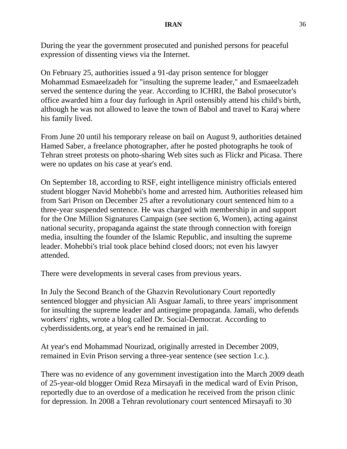During the year the government prosecuted and punished persons for peaceful expression of dissenting views via the Internet.

On February 25, authorities issued a 91-day prison sentence for blogger Mohammad Esmaeelzadeh for "insulting the supreme leader," and Esmaeelzadeh served the sentence during the year. According to ICHRI, the Babol prosecutor's office awarded him a four day furlough in April ostensibly attend his child's birth, although he was not allowed to leave the town of Babol and travel to Karaj where his family lived.

From June 20 until his temporary release on bail on August 9, authorities detained Hamed Saber, a freelance photographer, after he posted [photographs](http://www.flickr.com/photos/hamed/sets/72157619809375336/) he took of Tehran street protests on photo-sharing Web sites such as [Flickr](http://www.flickr.com/photos/hamed/sets/72157619809375336/) and [Picasa.](http://picasaweb.google.com/hsaber/25KhordadAzadi) There were no updates on his case at year's end.

On September 18, according to RSF, eight intelligence ministry officials entered student blogger Navid Mohebbi's home and arrested him. Authorities released him from Sari Prison on December 25 after a revolutionary court sentenced him to a three-year suspended sentence. He was charged with membership in and support for the One Million Signatures Campaign (see section 6, Women), acting against national security, propaganda against the state through connection with foreign media, insulting the founder of the Islamic Republic, and insulting the supreme leader. Mohebbi's trial took place behind closed doors; not even his lawyer attended.

There were developments in several cases from previous years.

In July the Second Branch of the Ghazvin Revolutionary Court reportedly sentenced blogger and physician Ali Asguar Jamali, to three years' imprisonment for insulting the supreme leader and antiregime propaganda. Jamali, who defends workers' rights, wrote a blog called Dr. Social-Democrat. According to cyberdissidents.org, at year's end he remained in jail.

At year's end Mohammad Nourizad, originally arrested in December 2009, remained in Evin Prison serving a three-year sentence (see section 1.c.).

There was no evidence of any government investigation into the March 2009 death of 25-year-old blogger Omid Reza Mirsayafi in the medical ward of Evin Prison, reportedly due to an overdose of a medication he received from the prison clinic for depression. In 2008 a Tehran revolutionary court sentenced Mirsayafi to 30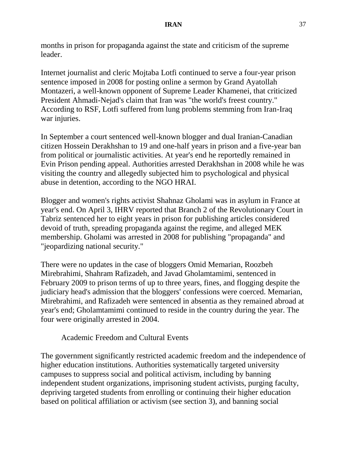months in prison for propaganda against the state and criticism of the supreme leader.

Internet journalist and cleric Mojtaba Lotfi continued to serve a four-year prison sentence imposed in 2008 for posting online a sermon by Grand Ayatollah Montazeri, a well-known opponent of Supreme Leader Khamenei, that criticized President Ahmadi-Nejad's claim that Iran was "the world's freest country." According to RSF, Lotfi suffered from lung problems stemming from Iran-Iraq war injuries.

In September a court sentenced well-known blogger and dual Iranian-Canadian citizen Hossein Derakhshan to 19 and one-half years in prison and a five-year ban from political or journalistic activities. At year's end he reportedly remained in Evin Prison pending appeal. Authorities arrested Derakhshan in 2008 while he was visiting the country and allegedly subjected him to psychological and physical abuse in detention, according to the NGO HRAI.

Blogger and women's rights activist Shahnaz Gholami was in asylum in France at year's end. On April 3, IHRV reported that Branch 2 of the Revolutionary Court in Tabriz sentenced her to eight years in prison for publishing articles considered devoid of truth, spreading propaganda against the regime, and alleged MEK membership. Gholami was arrested in 2008 for publishing "propaganda" and "jeopardizing national security."

There were no updates in the case of bloggers Omid Memarian, Roozbeh Mirebrahimi, Shahram Rafizadeh, and Javad Gholamtamimi, sentenced in February 2009 to prison terms of up to three years, fines, and flogging despite the judiciary head's admission that the bloggers' confessions were coerced. Memarian, Mirebrahimi, and Rafizadeh were sentenced in absentia as they remained abroad at year's end; Gholamtamimi continued to reside in the country during the year. The four were originally arrested in 2004.

Academic Freedom and Cultural Events

The government significantly restricted academic freedom and the independence of higher education institutions. Authorities systematically targeted university campuses to suppress social and political activism, including by banning independent student organizations, imprisoning student activists, purging faculty, depriving targeted students from enrolling or continuing their higher education based on political affiliation or activism (see section 3), and banning social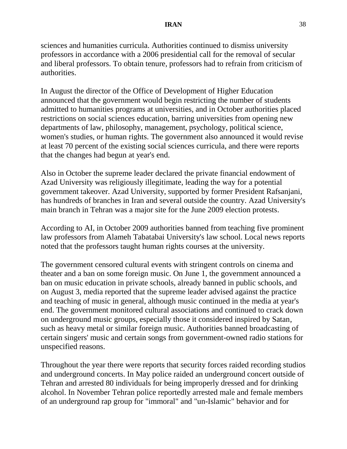### **IRAN** 38

sciences and humanities curricula. Authorities continued to dismiss university professors in accordance with a 2006 presidential call for the removal of secular and liberal professors. To obtain tenure, professors had to refrain from criticism of authorities.

In August the director of the Office of Development of Higher Education announced that the government would begin restricting the number of students admitted to humanities programs at universities, and in October authorities placed restrictions on social sciences education, barring universities from opening new departments of law, philosophy, management, psychology, political science, women's studies, or human rights. The government also announced it would revise at least 70 percent of the existing social sciences curricula, and there were reports that the changes had begun at year's end.

Also in October the [supreme leader declared](http://www.google.com/hostednews/ap/article/ALeqM5ixeFBxfLzaSjs8Mb8cuFmtPOT6-wD9IPL0KO0?docId=D9IPL0KO0) the private financial endowment of Azad University was religiously illegitimate, leading the way for a potential government takeover. Azad University, supported by former President Rafsanjani, has hundreds of branches in Iran and several outside the country. Azad University's main branch in Tehran was a major site for the June 2009 election protests.

According to AI, in October 2009 authorities banned from teaching five prominent law professors from Alameh Tabatabai University's law school. Local news reports noted that the professors taught human rights courses at the university.

The government censored cultural events with stringent controls on cinema and theater and a ban on some foreign music. On June 1, the government announced a ban on music education in private schools, already banned in public schools, and on August 3, media reported that the supreme leader advised against the practice and teaching of music in general, although music continued in the media at year's end. The government monitored cultural associations and continued to crack down on underground music groups, especially those it considered inspired by Satan, such as heavy metal or similar foreign music. Authorities banned broadcasting of certain singers' music and certain songs from government-owned radio stations for unspecified reasons.

Throughout the year there were reports that security forces raided recording studios and underground concerts. In May police raided an underground concert outside of Tehran and arrested 80 individuals for being improperly dressed and for drinking alcohol. In November Tehran police reportedly arrested male and female members of an underground rap group for "immoral" and "un-Islamic" behavior and for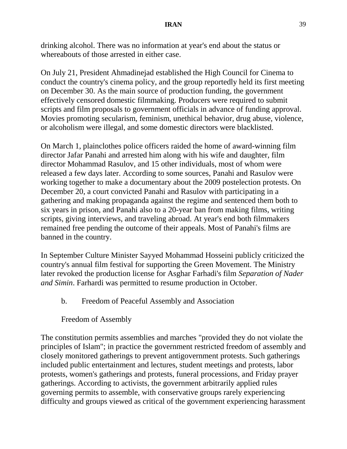drinking alcohol. There was no information at year's end about the status or whereabouts of those arrested in either case.

On July 21, President Ahmadinejad established the High Council for Cinema to conduct the country's cinema policy, and the group reportedly held its first meeting on December 30. As the main source of production funding, the government effectively censored domestic filmmaking. Producers were required to submit scripts and film proposals to government officials in advance of funding approval. Movies promoting secularism, feminism, unethical behavior, drug abuse, violence, or alcoholism were illegal, and some domestic directors were blacklisted.

On March 1, plainclothes police officers raided the home of award-winning film director Jafar Panahi and arrested him along with his wife and daughter, film director Mohammad Rasulov, and 15 other individuals, most of whom were released a few days later. According to some sources, Panahi and Rasulov were working together to make a documentary about the 2009 postelection protests. On December 20, a court convicted Panahi and Rasulov with participating in a gathering and making propaganda against the regime and sentenced them both to six years in prison, and Panahi also to a 20-year ban from making films, writing scripts, giving interviews, and traveling abroad. At year's end both filmmakers remained free pending the outcome of their appeals. Most of Panahi's films are banned in the country.

In September Culture Minister Sayyed Mohammad Hosseini publicly criticized the country's annual film festival for supporting the Green Movement. The Ministry later revoked the production license for Asghar Farhadi's film *Separation of Nader and Simin*. Farhardi was permitted to resume production in October.

b. Freedom of Peaceful Assembly and Association

Freedom of Assembly

The constitution permits assemblies and marches "provided they do not violate the principles of Islam"; in practice the government restricted freedom of assembly and closely monitored gatherings to prevent antigovernment protests. Such gatherings included public entertainment and lectures, student meetings and protests, labor protests, women's gatherings and protests, funeral processions, and Friday prayer gatherings. According to activists, the government arbitrarily applied rules governing permits to assemble, with conservative groups rarely experiencing difficulty and groups viewed as critical of the government experiencing harassment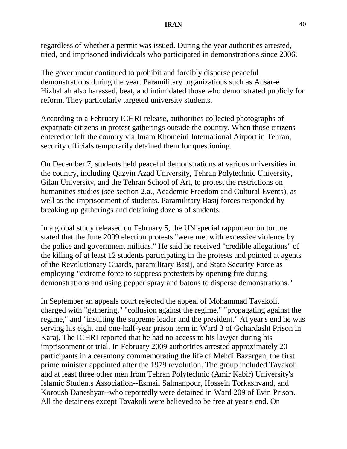regardless of whether a permit was issued. During the year authorities arrested, tried, and imprisoned individuals who participated in demonstrations since 2006.

The government continued to prohibit and forcibly disperse peaceful demonstrations during the year. Paramilitary organizations such as Ansar-e Hizballah also harassed, beat, and intimidated those who demonstrated publicly for reform. They particularly targeted university students.

According to a February ICHRI release, authorities collected photographs of expatriate citizens in protest gatherings outside the country. When those citizens entered or left the country via Imam Khomeini International Airport in Tehran, security officials temporarily detained them for questioning.

On December 7, students held peaceful demonstrations at various universities in the country, including Qazvin Azad University, Tehran Polytechnic University, Gilan University, and the Tehran School of Art, to protest the restrictions on humanities studies (see section 2.a., Academic Freedom and Cultural Events), as well as the imprisonment of students. Paramilitary Basij forces responded by breaking up gatherings and detaining dozens of students.

In a global study released on February 5, the UN special rapporteur on torture stated that the June 2009 election protests "were met with excessive violence by the police and government militias." He said he received "credible allegations" of the killing of at least 12 students participating in the protests and pointed at agents of the Revolutionary Guards, paramilitary Basij, and State Security Force as employing "extreme force to suppress protesters by opening fire during demonstrations and using pepper spray and batons to disperse demonstrations."

In September an appeals court rejected the appeal of Mohammad Tavakoli, charged with "gathering," "collusion against the regime," "propagating against the regime," and "insulting the supreme leader and the president." At year's end he was serving his eight and one-half-year prison term in Ward 3 of Gohardasht Prison in Karaj. The ICHRI reported that he had no access to his lawyer during his imprisonment or trial. In February 2009 authorities arrested approximately 20 participants in a ceremony commemorating the life of Mehdi Bazargan, the first prime minister appointed after the 1979 revolution. The group included Tavakoli and at least three other men from Tehran Polytechnic (Amir Kabir) University's Islamic Students Association--Esmail Salmanpour, Hossein Torkashvand, and Koroush Daneshyar--who reportedly were detained in Ward 209 of Evin Prison. All the detainees except Tavakoli were believed to be free at year's end. On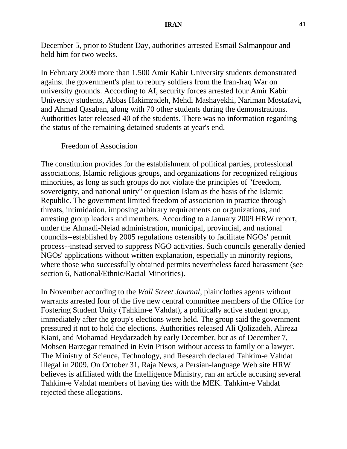December 5, prior to Student Day, authorities arrested Esmail Salmanpour and held him for two weeks.

In February 2009 more than 1,500 Amir Kabir University students demonstrated against the government's plan to rebury soldiers from the Iran-Iraq War on university grounds. According to AI, security forces arrested four Amir Kabir University students, Abbas Hakimzadeh, Mehdi Mashayekhi, Nariman Mostafavi, and Ahmad Qasaban, along with 70 other students during the demonstrations. Authorities later released 40 of the students. There was no information regarding the status of the remaining detained students at year's end.

### Freedom of Association

The constitution provides for the establishment of political parties, professional associations, Islamic religious groups, and organizations for recognized religious minorities, as long as such groups do not violate the principles of "freedom, sovereignty, and national unity" or question Islam as the basis of the Islamic Republic. The government limited freedom of association in practice through threats, intimidation, imposing arbitrary requirements on organizations, and arresting group leaders and members. According to a January 2009 HRW report, under the Ahmadi-Nejad administration, municipal, provincial, and national councils--established by 2005 regulations ostensibly to facilitate NGOs' permit process--instead served to suppress NGO activities. Such councils generally denied NGOs' applications without written explanation, especially in minority regions, where those who successfully obtained permits nevertheless faced harassment (see section 6, National/Ethnic/Racial Minorities).

In November according to the *Wall Street Journal*, plainclothes agents without warrants arrested four of the five new central committee members of the Office for Fostering Student Unity (Tahkim-e Vahdat), a politically active student group, immediately after the group's elections were held. The group said the government pressured it not to hold the elections. Authorities released Ali Qolizadeh, Alireza Kiani, and Mohamad Heydarzadeh by early December, but as of December 7, Mohsen Barzegar remained in Evin Prison without access to family or a lawyer. The Ministry of Science, Technology, and Research declared Tahkim-e Vahdat illegal in 2009. On October 31, Raja News, a Persian-language Web site HRW believes is affiliated with the Intelligence Ministry, ran an article accusing several Tahkim-e Vahdat members of having ties with the MEK. Tahkim-e Vahdat rejected these allegations.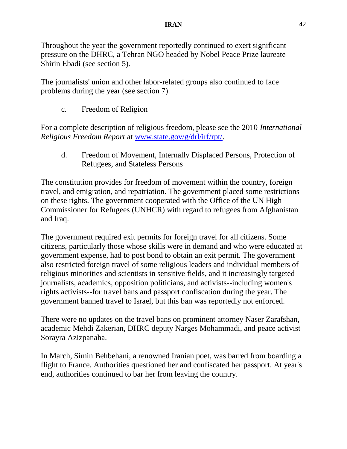Throughout the year the government reportedly continued to exert significant pressure on the DHRC, a Tehran NGO headed by Nobel Peace Prize laureate Shirin Ebadi (see section 5).

The journalists' union and other labor-related groups also continued to face problems during the year (see section 7).

c. Freedom of Religion

For a complete description of religious freedom, please see the 2010 *International Religious Freedom Report* at [www.state.gov/g/drl/irf/rpt/.](http://www.state.gov/g/drl/irf/rpt/)

d. Freedom of Movement, Internally Displaced Persons, Protection of Refugees, and Stateless Persons

The constitution provides for freedom of movement within the country, foreign travel, and emigration, and repatriation. The government placed some restrictions on these rights. The government cooperated with the Office of the UN High Commissioner for Refugees (UNHCR) with regard to refugees from Afghanistan and Iraq.

The government required exit permits for foreign travel for all citizens. Some citizens, particularly those whose skills were in demand and who were educated at government expense, had to post bond to obtain an exit permit. The government also restricted foreign travel of some religious leaders and individual members of religious minorities and scientists in sensitive fields, and it increasingly targeted journalists, academics, opposition politicians, and activists--including women's rights activists--for travel bans and passport confiscation during the year. The government banned travel to Israel, but this ban was reportedly not enforced.

There were no updates on the travel bans on prominent attorney Naser Zarafshan, academic Mehdi Zakerian, DHRC deputy Narges Mohammadi, and peace activist Sorayra Azizpanaha.

In March, Simin Behbehani, a renowned Iranian poet, was barred from boarding a flight to France. Authorities questioned her and confiscated her passport. At year's end, authorities continued to bar her from leaving the country.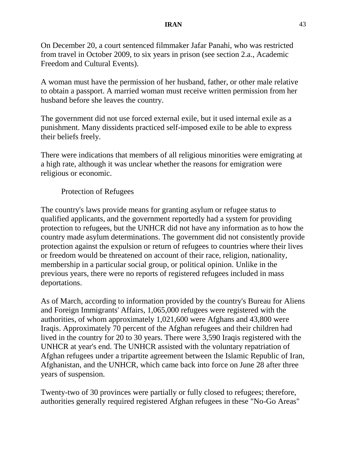### **IRAN** 43

On December 20, a court sentenced filmmaker Jafar Panahi, who was restricted from travel in October 2009, to six years in prison (see section 2.a., Academic Freedom and Cultural Events).

A woman must have the permission of her husband, father, or other male relative to obtain a passport. A married woman must receive written permission from her husband before she leaves the country.

The government did not use forced external exile, but it used internal exile as a punishment. Many dissidents practiced self-imposed exile to be able to express their beliefs freely.

There were indications that members of all religious minorities were emigrating at a high rate, although it was unclear whether the reasons for emigration were religious or economic.

## Protection of Refugees

The country's laws provide means for granting asylum or refugee status to qualified applicants, and the government reportedly had a system for providing protection to refugees, but the UNHCR did not have any information as to how the country made asylum determinations. The government did not consistently provide protection against the expulsion or return of refugees to countries where their lives or freedom would be threatened on account of their race, religion, nationality, membership in a particular social group, or political opinion. Unlike in the previous years, there were no reports of registered refugees included in mass deportations.

As of March, according to information provided by the country's Bureau for Aliens and Foreign Immigrants' Affairs, 1,065,000 refugees were registered with the authorities, of whom approximately 1,021,600 were Afghans and 43,800 were Iraqis. Approximately 70 percent of the Afghan refugees and their children had lived in the country for 20 to 30 years. There were 3,590 Iraqis registered with the UNHCR at year's end. The UNHCR assisted with the voluntary repatriation of Afghan refugees under a tripartite agreement between the Islamic Republic of Iran, Afghanistan, and the UNHCR, which came back into force on June 28 after three years of suspension.

Twenty-two of 30 provinces were partially or fully closed to refugees; therefore, authorities generally required registered Afghan refugees in these "No-Go Areas"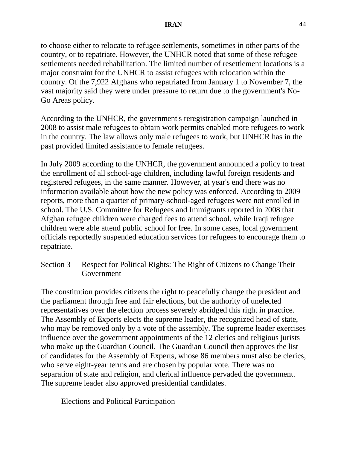to choose either to relocate to refugee settlements, sometimes in other parts of the country, or to repatriate. However, the UNHCR noted that some of these refugee settlements needed rehabilitation. The limited number of resettlement locations is a major constraint for the UNHCR to assist refugees with relocation within the country. Of the 7,922 Afghans who repatriated from January 1 to November 7, the vast majority said they were under pressure to return due to the government's No-Go Areas policy.

According to the UNHCR, the government's reregistration campaign launched in 2008 to assist male refugees to obtain work permits enabled more refugees to work in the country. The law allows only male refugees to work, but UNHCR has in the past provided limited assistance to female refugees.

In July 2009 according to the UNHCR, the government announced a policy to treat the enrollment of all school-age children, including lawful foreign residents and registered refugees, in the same manner. However, at year's end there was no information available about how the new policy was enforced. According to 2009 reports, more than a quarter of primary-school-aged refugees were not enrolled in school. The U.S. Committee for Refugees and Immigrants reported in 2008 that Afghan refugee children were charged fees to attend school, while Iraqi refugee children were able attend public school for free. In some cases, local government officials reportedly suspended education services for refugees to encourage them to repatriate.

Section 3 Respect for Political Rights: The Right of Citizens to Change Their Government

The constitution provides citizens the right to peacefully change the president and the parliament through free and fair elections, but the authority of unelected representatives over the election process severely abridged this right in practice. The Assembly of Experts elects the supreme leader, the recognized head of state, who may be removed only by a vote of the assembly. The supreme leader exercises influence over the government appointments of the 12 clerics and religious jurists who make up the Guardian Council. The Guardian Council then approves the list of candidates for the Assembly of Experts, whose 86 members must also be clerics, who serve eight-year terms and are chosen by popular vote. There was no separation of state and religion, and clerical influence pervaded the government. The supreme leader also approved presidential candidates.

Elections and Political Participation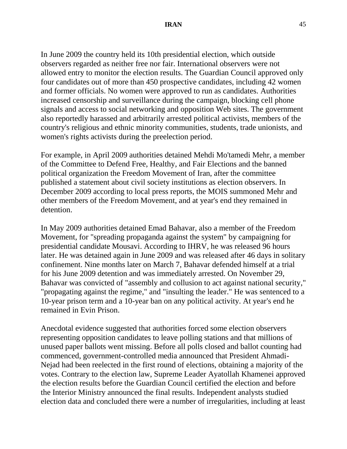In June 2009 the country held its 10th presidential election, which outside observers regarded as neither free nor fair. International observers were not allowed entry to monitor the election results. The Guardian Council approved only four candidates out of more than 450 prospective candidates, including 42 women and former officials. No women were approved to run as candidates. Authorities increased censorship and surveillance during the campaign, blocking cell phone signals and access to social networking and opposition Web sites. The government also reportedly harassed and arbitrarily arrested political activists, members of the country's religious and ethnic minority communities, students, trade unionists, and women's rights activists during the preelection period.

For example, in April 2009 authorities detained Mehdi Mo'tamedi Mehr, a member of the Committee to Defend Free, Healthy, and Fair Elections and the banned political organization the Freedom Movement of Iran, after the committee published a statement about civil society institutions as election observers. In December 2009 according to local press reports, the MOIS summoned Mehr and other members of the Freedom Movement, and at year's end they remained in detention.

In May 2009 authorities detained Emad Bahavar, also a member of the Freedom Movement, for "spreading propaganda against the system" by campaigning for presidential candidate Mousavi. According to IHRV, he was released 96 hours later. He was detained again in June 2009 and was released after 46 days in solitary confinement. Nine months later on March 7, Bahavar defended himself at a trial for his June 2009 detention and was immediately arrested. On November 29, Bahavar was convicted of "assembly and collusion to act against national security," "propagating against the regime," and "insulting the leader." He was sentenced to a 10-year prison term and a 10-year ban on any political activity. At year's end he remained in Evin Prison.

Anecdotal evidence suggested that authorities forced some election observers representing opposition candidates to leave polling stations and that millions of unused paper ballots went missing. Before all polls closed and ballot counting had commenced, government-controlled media announced that President Ahmadi-Nejad had been reelected in the first round of elections, obtaining a majority of the votes. Contrary to the election law, Supreme Leader Ayatollah Khamenei approved the election results before the Guardian Council certified the election and before the Interior Ministry announced the final results. Independent analysts studied election data and concluded there were a number of irregularities, including at least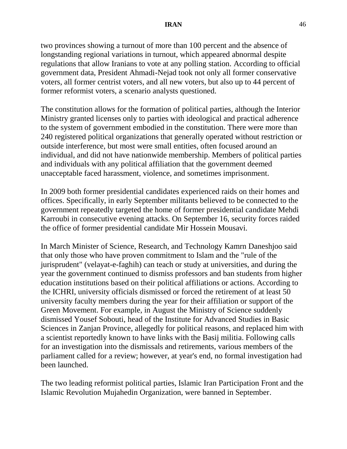two provinces showing a turnout of more than 100 percent and the absence of longstanding regional variations in turnout, which appeared abnormal despite regulations that allow Iranians to vote at any polling station. According to official government data, President Ahmadi-Nejad took not only all former conservative voters, all former centrist voters, and all new voters, but also up to 44 percent of former reformist voters, a scenario analysts questioned.

The constitution allows for the formation of political parties, although the Interior Ministry granted licenses only to parties with ideological and practical adherence to the system of government embodied in the constitution. There were more than 240 registered political organizations that generally operated without restriction or outside interference, but most were small entities, often focused around an individual, and did not have nationwide membership. Members of political parties and individuals with any political affiliation that the government deemed unacceptable faced harassment, violence, and sometimes imprisonment.

In 2009 both former presidential candidates experienced raids on their homes and offices. Specifically, in early September militants believed to be connected to the government repeatedly targeted the home of former presidential candidate Mehdi Karroubi in consecutive evening attacks. On September 16, security forces raided the office of former presidential candidate Mir Hossein Mousavi.

In March Minister of Science, Research, and Technology Kamrn Daneshjoo said that only those who have proven commitment to Islam and the "rule of the jurisprudent" (velayat-e-faghih) can teach or study at universities, and during the year the government continued to dismiss professors and ban students from higher education institutions based on their political affiliations or actions. According to the ICHRI, university officials dismissed or forced the retirement of at least 50 university faculty members during the year for their affiliation or support of the Green Movement. For example, in August the Ministry of Science suddenly dismissed Yousef Sobouti, head of the Institute for Advanced Studies in Basic Sciences in Zanjan Province, allegedly for political reasons, and replaced him with a scientist reportedly known to have links with the Basij militia. Following calls for an investigation into the dismissals and retirements, various members of the parliament called for a review; however, at year's end, no formal investigation had been launched.

The two leading reformist political parties, Islamic Iran Participation Front and the Islamic Revolution Mujahedin Organization, were banned in September.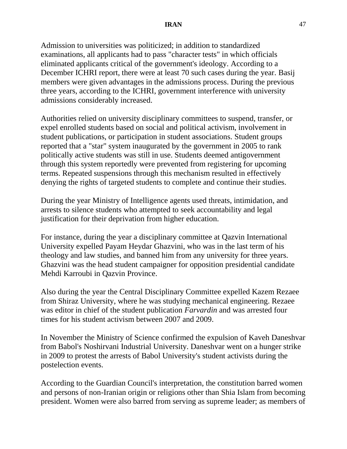Admission to universities was politicized; in addition to standardized examinations, all applicants had to pass "character tests" in which officials eliminated applicants critical of the government's ideology. According to a December ICHRI report, there were at least 70 such cases during the year. Basij members were given advantages in the admissions process. During the previous three years, according to the ICHRI, government interference with university admissions considerably increased.

Authorities relied on university disciplinary committees to suspend, transfer, or expel enrolled students based on social and political activism, involvement in student publications, or participation in student associations. Student groups reported that a "star" system inaugurated by the government in 2005 to rank politically active students was still in use. Students deemed antigovernment through this system reportedly were prevented from registering for upcoming terms. Repeated suspensions through this mechanism resulted in effectively denying the rights of targeted students to complete and continue their studies.

During the year Ministry of Intelligence agents used threats, intimidation, and arrests to silence students who attempted to seek accountability and legal justification for their deprivation from higher education.

For instance, during the year a disciplinary committee at Qazvin International University expelled Payam Heydar Ghazvini, who was in the last term of his theology and law studies, and banned him from any university for three years. Ghazvini was the head student campaigner for opposition presidential candidate Mehdi Karroubi in Qazvin Province.

Also during the year the Central Disciplinary Committee expelled Kazem Rezaee from Shiraz University, where he was studying mechanical engineering. Rezaee was editor in chief of the student publication *Farvardin* and was arrested four times for his student activism between 2007 and 2009.

In November the Ministry of Science confirmed the expulsion of Kaveh Daneshvar from Babol's Noshirvani Industrial University. Daneshvar went on a hunger strike in 2009 to protest the arrests of Babol University's student activists during the postelection events.

According to the Guardian Council's interpretation, the constitution barred women and persons of non-Iranian origin or religions other than Shia Islam from becoming president. Women were also barred from serving as supreme leader; as members of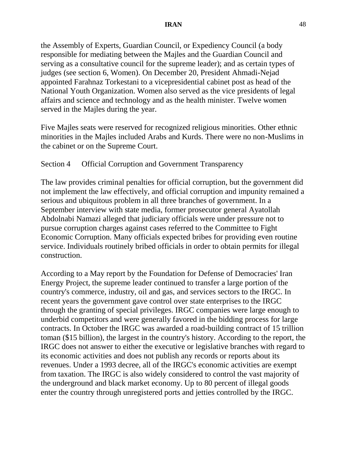the Assembly of Experts, Guardian Council, or Expediency Council (a body responsible for mediating between the Majles and the Guardian Council and serving as a consultative council for the supreme leader); and as certain types of judges (see section 6, Women). On December 20, President Ahmadi-Nejad appointed Farahnaz Torkestani to a vicepresidential cabinet post as head of the National Youth Organization. Women also served as the vice presidents of legal affairs and science and technology and as the health minister. Twelve women served in the Majles during the year.

Five Majles seats were reserved for recognized religious minorities. Other ethnic minorities in the Majles included Arabs and Kurds. There were no non-Muslims in the cabinet or on the Supreme Court.

## Section 4 Official Corruption and Government Transparency

The law provides criminal penalties for official corruption, but the government did not implement the law effectively, and official corruption and impunity remained a serious and ubiquitous problem in all three branches of government. In a September interview with state media, former prosecutor general Ayatollah Abdolnabi Namazi alleged that judiciary officials were under pressure not to pursue corruption charges against cases referred to the Committee to Fight Economic Corruption. Many officials expected bribes for providing even routine service. Individuals routinely bribed officials in order to obtain permits for illegal construction.

According to a May report by the Foundation for Defense of Democracies' Iran Energy Project, the supreme leader continued to transfer a large portion of the country's commerce, industry, oil and gas, and services sectors to the IRGC. In recent years the government gave control over state enterprises to the IRGC through the granting of special privileges. IRGC companies were large enough to underbid competitors and were generally favored in the bidding process for large contracts. In October the IRGC was awarded a road-building contract of 15 trillion toman (\$15 billion), the largest in the country's history. According to the report, the IRGC does not answer to either the executive or legislative branches with regard to its economic activities and does not publish any records or reports about its revenues. Under a 1993 decree, all of the IRGC's economic activities are exempt from taxation. The IRGC is also widely considered to control the vast majority of the underground and black market economy. Up to 80 percent of illegal goods enter the country through unregistered ports and jetties controlled by the IRGC.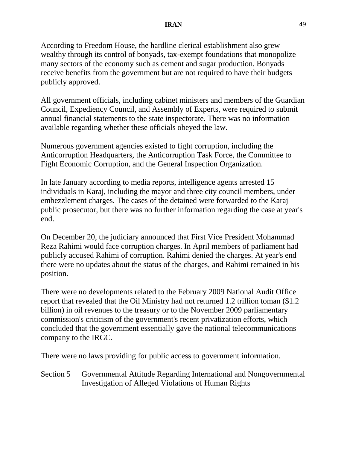According to Freedom House, the hardline clerical establishment also grew wealthy through its control of bonyads, tax-exempt foundations that monopolize many sectors of the economy such as cement and sugar production. Bonyads receive benefits from the government but are not required to have their budgets publicly approved.

All government officials, including cabinet ministers and members of the Guardian Council, Expediency Council, and Assembly of Experts, were required to submit annual financial statements to the state inspectorate. There was no information available regarding whether these officials obeyed the law.

Numerous government agencies existed to fight corruption, including the Anticorruption Headquarters, the Anticorruption Task Force, the Committee to Fight Economic Corruption, and the General Inspection Organization.

In late January according to media reports, intelligence agents arrested 15 individuals in Karaj, including the mayor and three city council members, under embezzlement charges. The cases of the detained were forwarded to the Karaj public prosecutor, but there was no further information regarding the case at year's end.

On December 20, the judiciary announced that First Vice President Mohammad Reza Rahimi would face corruption charges. In April members of parliament had publicly accused Rahimi of corruption. Rahimi denied the charges. At year's end there were no updates about the status of the charges, and Rahimi remained in his position.

There were no developments related to the February 2009 National Audit Office report that revealed that the Oil Ministry had not returned 1.2 trillion toman (\$1.2 billion) in oil revenues to the treasury or to the November 2009 parliamentary commission's criticism of the government's recent privatization efforts, which concluded that the government essentially gave the national telecommunications company to the IRGC.

There were no laws providing for public access to government information.

Section 5 Governmental Attitude Regarding International and Nongovernmental Investigation of Alleged Violations of Human Rights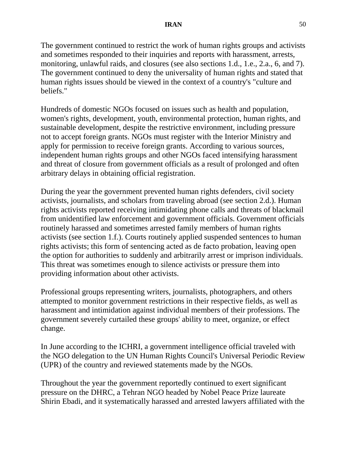The government continued to restrict the work of human rights groups and activists and sometimes responded to their inquiries and reports with harassment, arrests, monitoring, unlawful raids, and closures (see also sections 1.d., 1.e., 2.a., 6, and 7). The government continued to deny the universality of human rights and stated that human rights issues should be viewed in the context of a country's "culture and beliefs."

Hundreds of domestic NGOs focused on issues such as health and population, women's rights, development, youth, environmental protection, human rights, and sustainable development, despite the restrictive environment, including pressure not to accept foreign grants. NGOs must register with the Interior Ministry and apply for permission to receive foreign grants. According to various sources, independent human rights groups and other NGOs faced intensifying harassment and threat of closure from government officials as a result of prolonged and often arbitrary delays in obtaining official registration.

During the year the government prevented human rights defenders, civil society activists, journalists, and scholars from traveling abroad (see section 2.d.). Human rights activists reported receiving intimidating phone calls and threats of blackmail from unidentified law enforcement and government officials. Government officials routinely harassed and sometimes arrested family members of human rights activists (see section 1.f.). Courts routinely applied suspended sentences to human rights activists; this form of sentencing acted as de facto probation, leaving open the option for authorities to suddenly and arbitrarily arrest or imprison individuals. This threat was sometimes enough to silence activists or pressure them into providing information about other activists.

Professional groups representing writers, journalists, photographers, and others attempted to monitor government restrictions in their respective fields, as well as harassment and intimidation against individual members of their professions. The government severely curtailed these groups' ability to meet, organize, or effect change.

In June according to the ICHRI, a government intelligence official traveled with the NGO delegation to the UN Human Rights Council's Universal Periodic Review (UPR) of the country and reviewed statements made by the NGOs.

Throughout the year the government reportedly continued to exert significant pressure on the DHRC, a Tehran NGO headed by Nobel Peace Prize laureate Shirin Ebadi, and it systematically harassed and arrested lawyers affiliated with the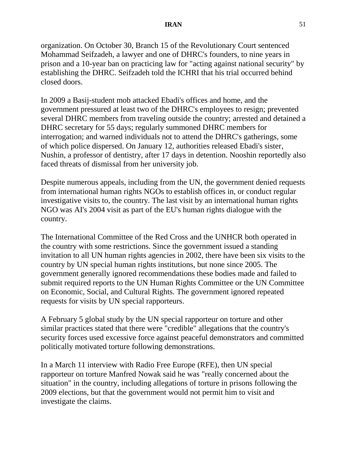organization. On October 30, Branch 15 of the Revolutionary Court sentenced Mohammad Seifzadeh, a lawyer and one of DHRC's founders, to nine years in prison and a 10-year ban on practicing law for "acting against national security" by establishing the DHRC. Seifzadeh told the ICHRI that his trial occurred behind closed doors.

In 2009 a Basij-student mob attacked Ebadi's offices and home, and the government pressured at least two of the DHRC's employees to resign; prevented several DHRC members from traveling outside the country; arrested and detained a DHRC secretary for 55 days; regularly summoned DHRC members for interrogation; and warned individuals not to attend the DHRC's gatherings, some of which police dispersed. On January 12, authorities released Ebadi's sister, Nushin, a professor of dentistry, after 17 days in detention. Nooshin reportedly also faced threats of dismissal from her university job.

Despite numerous appeals, including from the UN, the government denied requests from international human rights NGOs to establish offices in, or conduct regular investigative visits to, the country. The last visit by an international human rights NGO was AI's 2004 visit as part of the EU's human rights dialogue with the country.

The International Committee of the Red Cross and the UNHCR both operated in the country with some restrictions. Since the government issued a standing invitation to all UN human rights agencies in 2002, there have been six visits to the country by UN special human rights institutions, but none since 2005. The government generally ignored recommendations these bodies made and failed to submit required reports to the UN Human Rights Committee or the UN Committee on Economic, Social, and Cultural Rights. The government ignored repeated requests for visits by UN special rapporteurs.

A February 5 global study by the UN special rapporteur on torture and other similar practices stated that there were "credible" allegations that the country's security forces used excessive force against peaceful demonstrators and committed politically motivated torture following demonstrations.

In a March 11 interview with Radio Free Europe (RFE), then UN special rapporteur on torture Manfred Nowak said he was "really concerned about the situation" in the country, including allegations of torture in prisons following the 2009 elections, but that the government would not permit him to visit and investigate the claims.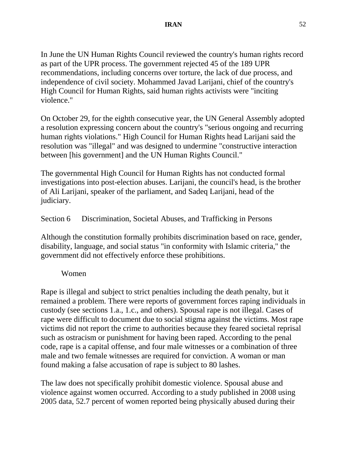In June the UN Human Rights Council reviewed the country's human rights record as part of the UPR process. The government rejected 45 of the 189 UPR recommendations, including concerns over torture, the lack of due process, and independence of civil society. Mohammed Javad Larijani, chief of the country's High Council for Human Rights, said human rights activists were "inciting violence."

On October 29, for the eighth consecutive year, the UN General Assembly adopted a resolution expressing concern about the country's "serious ongoing and recurring human rights violations." High Council for Human Rights head Larijani said the resolution was "illegal" and was designed to undermine "constructive interaction between [his government] and the UN Human Rights Council."

The governmental High Council for Human Rights has not conducted formal investigations into post-election abuses. Larijani, the council's head, is the brother of Ali Larijani, speaker of the parliament, and Sadeq Larijani, head of the judiciary.

# Section 6 Discrimination, Societal Abuses, and Trafficking in Persons

Although the constitution formally prohibits discrimination based on race, gender, disability, language, and social status "in conformity with Islamic criteria," the government did not effectively enforce these prohibitions.

# Women

Rape is illegal and subject to strict penalties including the death penalty, but it remained a problem. There were reports of government forces raping individuals in custody (see sections 1.a., 1.c., and others). Spousal rape is not illegal. Cases of rape were difficult to document due to social stigma against the victims. Most rape victims did not report the crime to authorities because they feared societal reprisal such as ostracism or punishment for having been raped. According to the penal code, rape is a capital offense, and four male witnesses or a combination of three male and two female witnesses are required for conviction. A woman or man found making a false accusation of rape is subject to 80 lashes.

The law does not specifically prohibit domestic violence. Spousal abuse and violence against women occurred. According to a study published in 2008 using 2005 data, 52.7 percent of women reported being physically abused during their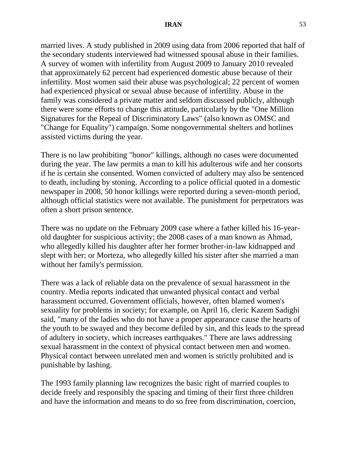married lives. A study published in 2009 using data from 2006 reported that half of the secondary students interviewed had witnessed spousal abuse in their families. A survey of women with infertility from August 2009 to January 2010 revealed that approximately 62 percent had experienced domestic abuse because of their infertility. Most women said their abuse was psychological; 22 percent of women had experienced physical or sexual abuse because of infertility. Abuse in the family was considered a private matter and seldom discussed publicly, although there were some efforts to change this attitude, particularly by the "One Million Signatures for the Repeal of Discriminatory Laws" (also known as OMSC and "Change for Equality") campaign. Some nongovernmental shelters and hotlines assisted victims during the year.

There is no law prohibiting "honor" killings, although no cases were documented during the year. The law permits a man to kill his adulterous wife and her consorts if he is certain she consented. Women convicted of adultery may also be sentenced to death, including by stoning. According to a police official quoted in a domestic newspaper in 2008, 50 honor killings were reported during a seven-month period, although official statistics were not available. The punishment for perpetrators was often a short prison sentence.

There was no update on the February 2009 case where a father killed his 16-yearold daughter for suspicious activity; the 2008 cases of a man known as Ahmad, who allegedly killed his daughter after her former brother-in-law kidnapped and slept with her; or Morteza, who allegedly killed his sister after she married a man without her family's permission.

There was a lack of reliable data on the prevalence of sexual harassment in the country. Media reports indicated that unwanted physical contact and verbal harassment occurred. Government officials, however, often blamed women's sexuality for problems in society; for example, on April 16, cleric Kazem Sadighi said, "many of the ladies who do not have a proper appearance cause the hearts of the youth to be swayed and they become defiled by sin, and this leads to the spread of adultery in society, which increases earthquakes." There are laws addressing sexual harassment in the context of physical contact between men and women. Physical contact between unrelated men and women is strictly prohibited and is punishable by lashing.

The 1993 family planning law recognizes the basic right of married couples to decide freely and responsibly the spacing and timing of their first three children and have the information and means to do so free from discrimination, coercion,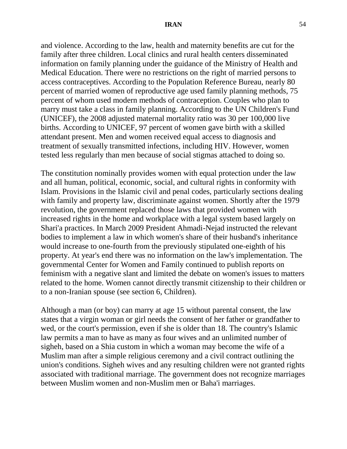and violence. According to the law, health and maternity benefits are cut for the family after three children. Local clinics and rural health centers disseminated information on family planning under the guidance of the Ministry of Health and Medical Education. There were no restrictions on the right of married persons to access contraceptives. According to the Population Reference Bureau, nearly 80 percent of married women of reproductive age used family planning methods, 75 percent of whom used modern methods of contraception. Couples who plan to marry must take a class in family planning. According to the UN Children's Fund (UNICEF), the 2008 adjusted maternal mortality ratio was 30 per 100,000 live births. According to UNICEF, 97 percent of women gave birth with a skilled attendant present. Men and women received equal access to diagnosis and treatment of sexually transmitted infections, including HIV. However, women tested less regularly than men because of social stigmas attached to doing so.

The constitution nominally provides women with equal protection under the law and all human, political, economic, social, and cultural rights in conformity with Islam. Provisions in the Islamic civil and penal codes, particularly sections dealing with family and property law, discriminate against women. Shortly after the 1979 revolution, the government replaced those laws that provided women with increased rights in the home and workplace with a legal system based largely on Shari'a practices. In March 2009 President Ahmadi-Nejad instructed the relevant bodies to implement a law in which women's share of their husband's inheritance would increase to one-fourth from the previously stipulated one-eighth of his property. At year's end there was no information on the law's implementation. The governmental Center for Women and Family continued to publish reports on feminism with a negative slant and limited the debate on women's issues to matters related to the home. Women cannot directly transmit citizenship to their children or to a non-Iranian spouse (see section 6, Children).

Although a man (or boy) can marry at age 15 without parental consent, the law states that a virgin woman or girl needs the consent of her father or grandfather to wed, or the court's permission, even if she is older than 18. The country's Islamic law permits a man to have as many as four wives and an unlimited number of sigheh, based on a Shia custom in which a woman may become the wife of a Muslim man after a simple religious ceremony and a civil contract outlining the union's conditions. Sigheh wives and any resulting children were not granted rights associated with traditional marriage. The government does not recognize marriages between Muslim women and non-Muslim men or Baha'i marriages.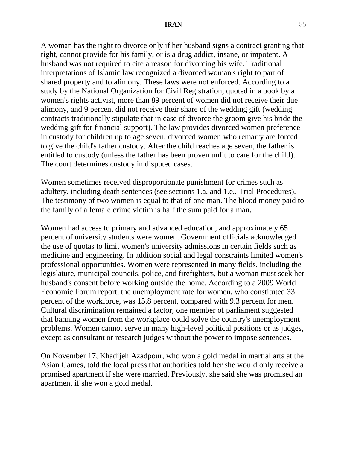A woman has the right to divorce only if her husband signs a contract granting that right, cannot provide for his family, or is a drug addict, insane, or impotent. A husband was not required to cite a reason for divorcing his wife. Traditional interpretations of Islamic law recognized a divorced woman's right to part of shared property and to alimony. These laws were not enforced. According to a study by the National Organization for Civil Registration, quoted in a book by a women's rights activist, more than 89 percent of women did not receive their due alimony, and 9 percent did not receive their share of the wedding gift (wedding contracts traditionally stipulate that in case of divorce the groom give his bride the wedding gift for financial support). The law provides divorced women preference in custody for children up to age seven; divorced women who remarry are forced to give the child's father custody. After the child reaches age seven, the father is entitled to custody (unless the father has been proven unfit to care for the child). The court determines custody in disputed cases.

Women sometimes received disproportionate punishment for crimes such as adultery, including death sentences (see sections 1.a. and 1.e., Trial Procedures). The testimony of two women is equal to that of one man. The blood money paid to the family of a female crime victim is half the sum paid for a man.

Women had access to primary and advanced education, and approximately 65 percent of university students were women. Government officials acknowledged the use of quotas to limit women's university admissions in certain fields such as medicine and engineering. In addition social and legal constraints limited women's professional opportunities. Women were represented in many fields, including the legislature, municipal councils, police, and firefighters, but a woman must seek her husband's consent before working outside the home. According to a 2009 World Economic Forum report, the unemployment rate for women, who constituted 33 percent of the workforce, was 15.8 percent, compared with 9.3 percent for men. Cultural discrimination remained a factor; one member of parliament suggested that banning women from the workplace could solve the country's unemployment problems. Women cannot serve in many high-level political positions or as judges, except as consultant or research judges without the power to impose sentences.

On November 17, Khadijeh Azadpour, who won a gold medal in martial arts at the Asian Games, told the local press that authorities told her she would only receive a promised apartment if she were married. Previously, she said she was promised an apartment if she won a gold medal.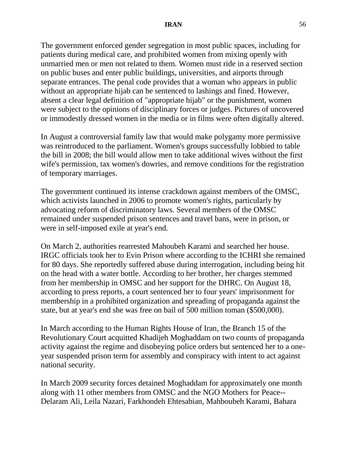The government enforced gender segregation in most public spaces, including for patients during medical care, and prohibited women from mixing openly with unmarried men or men not related to them. Women must ride in a reserved section on public buses and enter public buildings, universities, and airports through separate entrances. The penal code provides that a woman who appears in public without an appropriate hijab can be sentenced to lashings and fined. However, absent a clear legal definition of "appropriate hijab" or the punishment, women were subject to the opinions of disciplinary forces or judges. Pictures of uncovered or immodestly dressed women in the media or in films were often digitally altered.

In August a controversial family law that would make polygamy more permissive was reintroduced to the parliament. Women's groups successfully lobbied to table the bill in 2008; the bill would allow men to take additional wives without the first wife's permission, tax women's dowries, and remove conditions for the registration of temporary marriages.

The government continued its intense crackdown against members of the OMSC, which activists launched in 2006 to promote women's rights, particularly by advocating reform of discriminatory laws. Several members of the OMSC remained under suspended prison sentences and travel bans, were in prison, or were in self-imposed exile at year's end.

On March 2, authorities rearrested Mahoubeh Karami and searched her house. IRGC officials took her to Evin Prison where according to the ICHRI she remained for 80 days. She reportedly suffered abuse during interrogation, including being hit on the head with a water bottle. According to her brother, her charges stemmed from her membership in OMSC and her support for the DHRC. On August 18, according to press reports, a court sentenced her to four years' imprisonment for membership in a prohibited organization and spreading of propaganda against the state, but at year's end she was free on bail of 500 million toman (\$500,000).

In March according to the Human Rights House of Iran, the Branch 15 of the Revolutionary Court acquitted Khadijeh Moghaddam on two counts of propaganda activity against the regime and disobeying police orders but sentenced her to a oneyear suspended prison term for assembly and conspiracy with intent to act against national security.

In March 2009 security forces detained Moghaddam for approximately one month along with 11 other members from OMSC and the NGO Mothers for Peace-- Delaram Ali, Leila Nazari, Farkhondeh Ehtesabian, Mahboubeh Karami, Bahara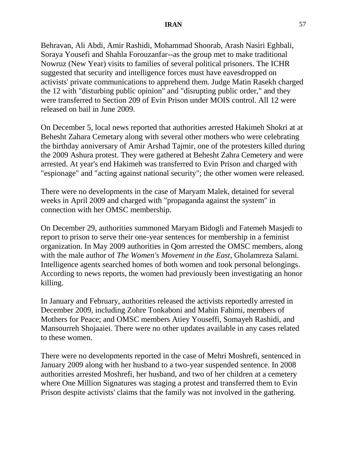Behravan, Ali Abdi, Amir Rashidi, Mohammad Shoorab, Arash Nasiri Eghbali, Soraya Yousefi and Shahla Forouzanfar--as the group met to make traditional Nowruz (New Year) visits to families of several political prisoners. The ICHR suggested that security and intelligence forces must have eavesdropped on activists' private communications to apprehend them. Judge Matin Rasekh charged the 12 with "disturbing public opinion" and "disrupting public order," and they were transferred to Section 209 of Evin Prison under MOIS control. All 12 were released on bail in June 2009.

On December 5, local news reported that authorities arrested Hakimeh Shokri at at Behesht Zahara Cemetary along with several other mothers who were celebrating the birthday anniversary of [Amir Arshad Tajmir,](http://persian2english.com/?p=3149) one of the protesters killed during the 2009 Ashura protest. They were gathered at Behesht Zahra Cemetery and were arrested. At year's end Hakimeh was transferred to Evin Prison and charged with "espionage" and "acting against national security"; the other women were released.

There were no developments in the case of Maryam Malek, detained for several weeks in April 2009 and charged with "propaganda against the system" in connection with her OMSC membership.

On December 29, authorities summoned Maryam Bidogli and Fatemeh Masjedi to report to prison to serve their one-year sentences for membership in a feminist organization. In May 2009 authorities in Qom arrested the OMSC members, along with the male author of *The Women's Movement in the East*, Gholamreza Salami. Intelligence agents searched homes of both women and took personal belongings. According to news reports, the women had previously been investigating an honor killing.

In January and February, authorities released the activists reportedly arrested in December 2009, including Zohre Tonkaboni and Mahin Fahimi, members of Mothers for Peace; and OMSC members Atiey Youseffi, Somayeh Rashidi, and Mansourreh Shojaaiei. There were no other updates available in any cases related to these women.

There were no developments reported in the case of Mehri Moshrefi, sentenced in January 2009 along with her husband to a two-year suspended sentence. In 2008 authorities arrested Moshrefi, her husband, and two of her children at a cemetery where One Million Signatures was staging a protest and transferred them to Evin Prison despite activists' claims that the family was not involved in the gathering.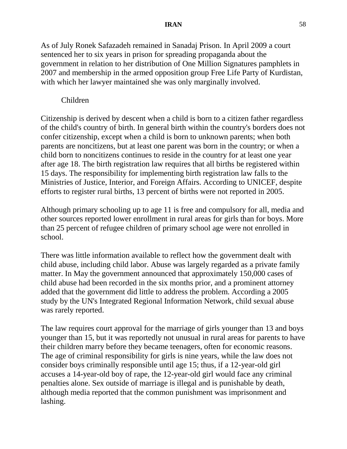### **IRAN** 58

As of July Ronek Safazadeh remained in Sanadaj Prison. In April 2009 a court sentenced her to six years in prison for spreading propaganda about the government in relation to her distribution of One Million Signatures pamphlets in 2007 and membership in the armed opposition group Free Life Party of Kurdistan, with which her lawyer maintained she was only marginally involved.

#### Children

Citizenship is derived by descent when a child is born to a citizen father regardless of the child's country of birth. In general birth within the country's borders does not confer citizenship, except when a child is born to unknown parents; when both parents are noncitizens, but at least one parent was born in the country; or when a child born to noncitizens continues to reside in the country for at least one year after age 18. The birth registration law requires that all births be registered within 15 days. The responsibility for implementing birth registration law falls to the Ministries of Justice, Interior, and Foreign Affairs. According to UNICEF, despite efforts to register rural births, 13 percent of births were not reported in 2005.

Although primary schooling up to age 11 is free and compulsory for all, media and other sources reported lower enrollment in rural areas for girls than for boys. More than 25 percent of refugee children of primary school age were not enrolled in school.

There was little information available to reflect how the government dealt with child abuse, including child labor. Abuse was largely regarded as a private family matter. In May the government announced that approximately 150,000 cases of child abuse had been recorded in the six months prior, and a prominent attorney added that the government did little to address the problem. According a 2005 study by the UN's Integrated Regional Information Network, child sexual abuse was rarely reported.

The law requires court approval for the marriage of girls younger than 13 and boys younger than 15, but it was reportedly not unusual in rural areas for parents to have their children marry before they became teenagers, often for economic reasons. The age of criminal responsibility for girls is nine years, while the law does not consider boys criminally responsible until age 15; thus, if a 12-year-old girl accuses a 14-year-old boy of rape, the 12-year-old girl would face any criminal penalties alone. Sex outside of marriage is illegal and is punishable by death, although media reported that the common punishment was imprisonment and lashing.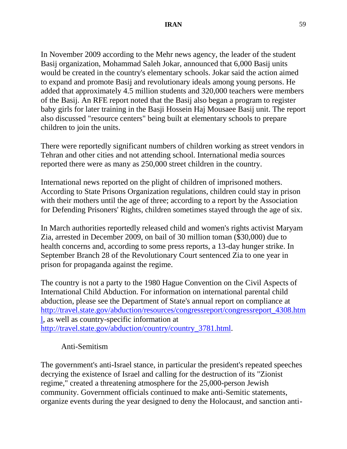In November 2009 according to the Mehr news agency, the leader of the student Basij organization, Mohammad Saleh Jokar, announced that 6,000 Basij units would be created in the country's elementary schools. Jokar said the action aimed to expand and promote Basij and revolutionary ideals among young persons. He added that approximately 4.5 million students and 320,000 teachers were members of the Basij. An RFE report noted that the Basij also began a program to register baby girls for later training in the Basji Hossein Haj Mousaee Basij unit. The report also discussed "resource centers" being built at elementary schools to prepare children to join the units.

There were reportedly significant numbers of children working as street vendors in Tehran and other cities and not attending school. International media sources reported there were as many as 250,000 street children in the country.

International news reported on the plight of children of imprisoned mothers. According to State Prisons Organization regulations, children could stay in prison with their mothers until the age of three; according to a report by the Association for Defending Prisoners' Rights, children sometimes stayed through the age of six.

In March authorities reportedly released child and women's rights activist Maryam Zia, arrested in December 2009, on bail of 30 million toman (\$30,000) due to health concerns and, according to some press reports, a 13-day hunger strike. In September Branch 28 of the Revolutionary Court sentenced Zia to one year in prison for propaganda against the regime.

The country is not a party to the 1980 Hague Convention on the Civil Aspects of International Child Abduction. For information on international parental child abduction, please see the Department of State's annual report on compliance at [http://travel.state.gov/abduction/resources/congressreport/congressreport\\_4308.htm](http://travel.state.gov/abduction/resources/congressreport/congressreport_4308.html) [l,](http://travel.state.gov/abduction/resources/congressreport/congressreport_4308.html) as well as country-specific information at [http://travel.state.gov/abduction/country/country\\_3781.html.](http://travel.state.gov/abduction/country/country_3781.html)

# Anti-Semitism

The government's anti-Israel stance, in particular the president's repeated speeches decrying the existence of Israel and calling for the destruction of its "Zionist regime," created a threatening atmosphere for the 25,000-person Jewish community. Government officials continued to make anti-Semitic statements, organize events during the year designed to deny the Holocaust, and sanction anti-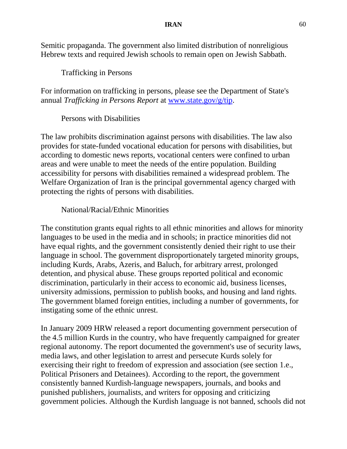### **IRAN** 60

Semitic propaganda. The government also limited distribution of nonreligious Hebrew texts and required Jewish schools to remain open on Jewish Sabbath.

Trafficking in Persons

For information on trafficking in persons, please see the Department of State's annual *Trafficking in Persons Report* at [www.state.gov/g/tip.](http://www.state.gov/g/tip)

### Persons with Disabilities

The law prohibits discrimination against persons with disabilities. The law also provides for state-funded vocational education for persons with disabilities, but according to domestic news reports, vocational centers were confined to urban areas and were unable to meet the needs of the entire population. Building accessibility for persons with disabilities remained a widespread problem. The Welfare Organization of Iran is the principal governmental agency charged with protecting the rights of persons with disabilities.

### National/Racial/Ethnic Minorities

The constitution grants equal rights to all ethnic minorities and allows for minority languages to be used in the media and in schools; in practice minorities did not have equal rights, and the government consistently denied their right to use their language in school. The government disproportionately targeted minority groups, including Kurds, Arabs, Azeris, and Baluch, for arbitrary arrest, prolonged detention, and physical abuse. These groups reported political and economic discrimination, particularly in their access to economic aid, business licenses, university admissions, permission to publish books, and housing and land rights. The government blamed foreign entities, including a number of governments, for instigating some of the ethnic unrest.

In January 2009 HRW released a report documenting government persecution of the 4.5 million Kurds in the country, who have frequently campaigned for greater regional autonomy. The report documented the government's use of security laws, media laws, and other legislation to arrest and persecute Kurds solely for exercising their right to freedom of expression and association (see section 1.e., Political Prisoners and Detainees). According to the report, the government consistently banned Kurdish-language newspapers, journals, and books and punished publishers, journalists, and writers for opposing and criticizing government policies. Although the Kurdish language is not banned, schools did not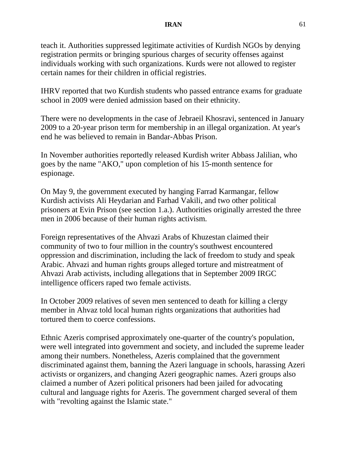teach it. Authorities suppressed legitimate activities of Kurdish NGOs by denying registration permits or bringing spurious charges of security offenses against individuals working with such organizations. Kurds were not allowed to register certain names for their children in official registries.

IHRV reported that two Kurdish students who passed entrance exams for graduate school in 2009 were denied admission based on their ethnicity.

There were no developments in the case of Jebraeil Khosravi, sentenced in January 2009 to a 20-year prison term for membership in an illegal organization. At year's end he was believed to remain in Bandar-Abbas Prison.

In November authorities reportedly released Kurdish writer Abbass Jalilian, who goes by the name "AKO," upon completion of his 15-month sentence for espionage.

On May 9, the government executed by hanging Farrad Karmangar, fellow Kurdish activists Ali Heydarian and Farhad Vakili, and two other political prisoners at Evin Prison (see section 1.a.). Authorities originally arrested the three men in 2006 because of their human rights activism.

Foreign representatives of the Ahvazi Arabs of Khuzestan claimed their community of two to four million in the country's southwest encountered oppression and discrimination, including the lack of freedom to study and speak Arabic. Ahvazi and human rights groups alleged torture and mistreatment of Ahvazi Arab activists, including allegations that in September 2009 IRGC intelligence officers raped two female activists.

In October 2009 relatives of seven men sentenced to death for killing a clergy member in Ahvaz told local human rights organizations that authorities had tortured them to coerce confessions.

Ethnic Azeris comprised approximately one-quarter of the country's population, were well integrated into government and society, and included the supreme leader among their numbers. Nonetheless, Azeris complained that the government discriminated against them, banning the Azeri language in schools, harassing Azeri activists or organizers, and changing Azeri geographic names. Azeri groups also claimed a number of Azeri political prisoners had been jailed for advocating cultural and language rights for Azeris. The government charged several of them with "revolting against the Islamic state."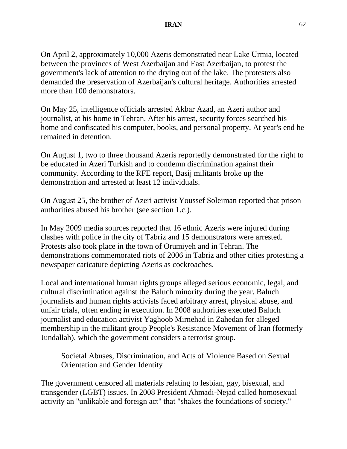On April 2, approximately 10,000 Azeris demonstrated near Lake Urmia, located between the provinces of West Azerbaijan and East Azerbaijan, to protest the government's lack of attention to the drying out of the lake. The protesters also demanded the preservation of Azerbaijan's cultural heritage. Authorities arrested more than 100 demonstrators.

On May 25, intelligence officials arrested Akbar Azad, an Azeri author and journalist, at his home in Tehran. After his arrest, security forces searched his home and confiscated his computer, books, and personal property. At year's end he remained in detention.

On August 1, two to three thousand Azeris reportedly demonstrated for the right to be educated in Azeri Turkish and to condemn discrimination against their community. According to the RFE report, Basij militants broke up the demonstration and arrested at least 12 individuals.

On August 25, the brother of Azeri activist Youssef Soleiman reported that prison authorities abused his brother (see section 1.c.).

In May 2009 media sources reported that 16 ethnic Azeris were injured during clashes with police in the city of Tabriz and 15 demonstrators were arrested. Protests also took place in the town of Orumiyeh and in Tehran. The demonstrations commemorated riots of 2006 in Tabriz and other cities protesting a newspaper caricature depicting Azeris as cockroaches.

Local and international human rights groups alleged serious economic, legal, and cultural discrimination against the Baluch minority during the year. Baluch journalists and human rights activists faced arbitrary arrest, physical abuse, and unfair trials, often ending in execution. In 2008 authorities executed Baluch journalist and education activist Yaghoob Mirnehad in Zahedan for alleged membership in the militant group People's Resistance Movement of Iran (formerly Jundallah), which the government considers a terrorist group.

Societal Abuses, Discrimination, and Acts of Violence Based on Sexual Orientation and Gender Identity

The government censored all materials relating to lesbian, gay, bisexual, and transgender (LGBT) issues. In 2008 President Ahmadi-Nejad called homosexual activity an "unlikable and foreign act" that "shakes the foundations of society."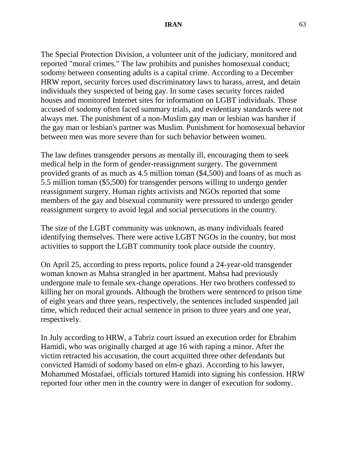The Special Protection Division, a volunteer unit of the judiciary, monitored and reported "moral crimes." The law prohibits and punishes homosexual conduct; sodomy between consenting adults is a capital crime. According to a December HRW report, security forces used discriminatory laws to harass, arrest, and detain individuals they suspected of being gay. In some cases security forces raided houses and monitored Internet sites for information on LGBT individuals. Those accused of sodomy often faced summary trials, and evidentiary standards were not always met. The punishment of a non-Muslim gay man or lesbian was harsher if the gay man or lesbian's partner was Muslim. Punishment for homosexual behavior between men was more severe than for such behavior between women.

The law defines transgender persons as mentally ill, encouraging them to seek medical help in the form of gender-reassignment surgery. The government provided grants of as much as 4.5 million toman (\$4,500) and loans of as much as 5.5 million toman (\$5,500) for transgender persons willing to undergo gender reassignment surgery. Human rights activists and NGOs reported that some members of the gay and bisexual community were pressured to undergo gender reassignment surgery to avoid legal and social persecutions in the country.

The size of the LGBT community was unknown, as many individuals feared identifying themselves. There were active LGBT NGOs in the country, but most activities to support the LGBT community took place outside the country.

On April 25, according to press reports, police found a 24-year-old transgender woman known as Mahsa strangled in her apartment. Mahsa had previously undergone male to female sex-change operations. Her two brothers confessed to killing her on moral grounds. Although the brothers were sentenced to prison time of eight years and three years, respectively, the sentences included suspended jail time, which reduced their actual sentence in prison to three years and one year, respectively.

In July according to HRW, a Tabriz court issued an execution order for Ebrahim Hamidi, who was originally charged at age 16 with raping a minor. After the victim retracted his accusation, the court acquitted three other defendants but convicted Hamidi of sodomy based on elm-e ghazi. According to his lawyer, Mohammed Mostafaei, officials tortured Hamidi into signing his confession. HRW reported four other men in the country were in danger of execution for sodomy.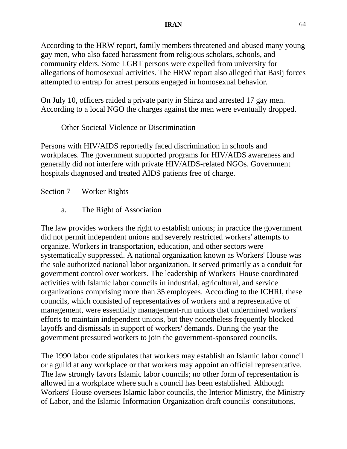### **IRAN** 64

According to the HRW report, family members threatened and abused many young gay men, who also faced harassment from religious scholars, schools, and community elders. Some LGBT persons were expelled from university for allegations of homosexual activities. The HRW report also alleged that Basij forces attempted to entrap for arrest persons engaged in homosexual behavior.

On July 10, officers raided a private party in Shirza and arrested 17 gay men. According to a local NGO the charges against the men were eventually dropped.

Other Societal Violence or Discrimination

Persons with HIV/AIDS reportedly faced discrimination in schools and workplaces. The government supported programs for HIV/AIDS awareness and generally did not interfere with private HIV/AIDS-related NGOs. Government hospitals diagnosed and treated AIDS patients free of charge.

Section 7 Worker Rights

a. The Right of Association

The law provides workers the right to establish unions; in practice the government did not permit independent unions and severely restricted workers' attempts to organize. Workers in transportation, education, and other sectors were systematically suppressed. A national organization known as Workers' House was the sole authorized national labor organization. It served primarily as a conduit for government control over workers. The leadership of Workers' House coordinated activities with Islamic labor councils in industrial, agricultural, and service organizations comprising more than 35 employees. According to the ICHRI, these councils, which consisted of representatives of workers and a representative of management, were essentially management-run unions that undermined workers' efforts to maintain independent unions, but they nonetheless frequently blocked layoffs and dismissals in support of workers' demands. During the year the government pressured workers to join the government-sponsored councils.

The 1990 labor code stipulates that workers may establish an Islamic labor council or a guild at any workplace or that workers may appoint an official representative. The law strongly favors Islamic labor councils; no other form of representation is allowed in a workplace where such a council has been established. Although Workers' House oversees Islamic labor councils, the Interior Ministry, the Ministry of Labor, and the Islamic Information Organization draft councils' constitutions,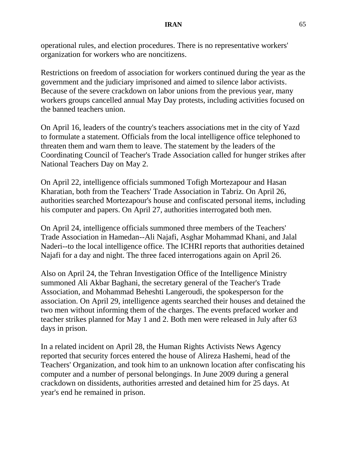operational rules, and election procedures. There is no representative workers' organization for workers who are noncitizens.

Restrictions on freedom of association for workers continued during the year as the government and the judiciary imprisoned and aimed to silence labor activists. Because of the severe crackdown on labor unions from the previous year, many workers groups cancelled annual May Day protests, including activities focused on the banned teachers union.

On April 16, leaders of the country's teachers associations met in the city of Yazd to formulate a statement. Officials from the local intelligence office telephoned to threaten them and warn them to leave. The statement by the leaders of the Coordinating Council of Teacher's Trade Association called for hunger strikes after National Teachers Day on May 2.

On April 22, intelligence officials summoned Tofigh Mortezapour and Hasan Kharatian, both from the Teachers' Trade Association in Tabriz. On April 26, authorities searched Mortezapour's house and confiscated personal items, including his computer and papers. On April 27, authorities interrogated both men.

On April 24, intelligence officials summoned three members of the Teachers' Trade Association in Hamedan--Ali Najafi, Asghar Mohammad Khani, and Jalal Naderi--to the local intelligence office. The ICHRI reports that authorities detained Najafi for a day and night. The three faced interrogations again on April 26.

Also on April 24, the Tehran Investigation Office of the Intelligence Ministry summoned Ali Akbar Baghani, the secretary general of the Teacher's Trade Association, and Mohammad Beheshti Langeroudi, the spokesperson for the association. On April 29, intelligence agents searched their houses and detained the two men without informing them of the charges. The events prefaced worker and teacher strikes planned for May 1 and 2. Both men were released in July after 63 days in prison.

In a related incident on April 28, the Human Rights Activists News Agency reported that security forces entered the house of Alireza Hashemi, head of the Teachers' Organization, and took him to an unknown location after confiscating his computer and a number of personal belongings. In June 2009 during a general crackdown on dissidents, authorities arrested and detained him for 25 days. At year's end he remained in prison.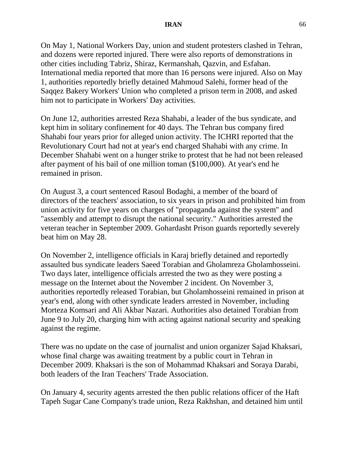On May 1, National Workers Day, union and student protesters clashed in Tehran, and dozens were reported injured. There were also reports of [demonstrations in](http://en.irangreenvoice.com/article/2010/may/01/1784)  [other cities including Tabriz,](http://en.irangreenvoice.com/article/2010/may/01/1784) [Shiraz,](http://en.irangreenvoice.com/article/2010/may/01/1783) Kermanshah, [Qazvin,](http://en.irangreenvoice.com/article/2010/may/01/1787) and Esfahan. International media reported that more than 16 persons were injured. Also on May 1, authorities reportedly briefly detained Mahmoud Salehi, former head of the Saqqez Bakery Workers' Union who completed a prison term in 2008, and asked him not to participate in Workers' Day activities.

On June 12, authorities arrested Reza Shahabi, a leader of the bus syndicate, and kept him in solitary confinement for 40 days. The Tehran bus company fired Shahabi four years prior for alleged union activity. The ICHRI reported that the Revolutionary Court had not at year's end charged Shahabi with any crime. In December Shahabi went on a hunger strike to protest that he had not been released after payment of his bail of one million toman (\$100,000). At year's end he remained in prison.

On August 3, a court sentenced Rasoul Bodaghi, a member of the board of directors of the teachers' association, to six years in prison and prohibited him from union activity for five years on charges of "propaganda against the system" and "assembly and attempt to disrupt the national security." Authorities arrested the veteran teacher in September 2009. Gohardasht Prison guards reportedly severely beat him on May 28.

On November 2, intelligence officials in Karaj briefly detained and reportedly assaulted bus syndicate leaders Saeed Torabian and Gholamreza Gholamhosseini. Two days later, intelligence officials arrested the two as they were posting a message on the Internet about the November 2 incident. On November 3, authorities reportedly released Torabian, but Gholamhosseini remained in prison at year's end, along with other syndicate leaders arrested in November, including Morteza Komsari and Ali Akbar Nazari. Authorities also detained Torabian from June 9 to July 20, charging him with acting against national security and speaking against the regime.

There was no update on the case of journalist and union organizer Sajad Khaksari, whose final charge was awaiting treatment by a public court in Tehran in December 2009. Khaksari is the son of Mohammad Khaksari and Soraya Darabi, both leaders of the Iran Teachers' Trade Association.

On January 4, security agents arrested the then public relations officer of the Haft Tapeh Sugar Cane Company's trade union, Reza Rakhshan, and detained him until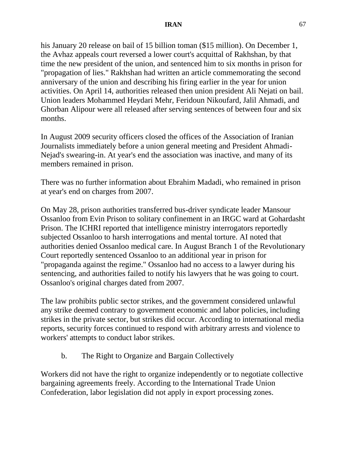his January 20 release on bail of 15 billion toman (\$15 million). On December 1, the Avhaz appeals court reversed a lower court's acquittal of Rakhshan, by that time the new president of the union, and sentenced him to six months in prison for "propagation of lies." Rakhshan had written an article commemorating the second anniversary of the union and describing his firing earlier in the year for union activities. On April 14, authorities released then union president Ali Nejati on bail. Union leaders Mohammed Heydari Mehr, Feridoun Nikoufard, Jalil Ahmadi, and Ghorban Alipour were all released after serving sentences of between four and six months.

In August 2009 security officers closed the offices of the Association of Iranian Journalists immediately before a union general meeting and President Ahmadi-Nejad's swearing-in. At year's end the association was inactive, and many of its members remained in prison.

There was no further information about Ebrahim Madadi, who remained in prison at year's end on charges from 2007.

On May 28, prison authorities transferred bus-driver syndicate leader Mansour Ossanloo from Evin Prison to solitary confinement in an IRGC ward at Gohardasht Prison. The ICHRI reported that intelligence ministry interrogators reportedly subjected Ossanloo to harsh interrogations and mental torture. AI noted that authorities denied Ossanloo medical care. In August Branch 1 of the Revolutionary Court reportedly sentenced Ossanloo to an additional year in prison for "propaganda against the regime." Ossanloo had no access to a lawyer during his sentencing, and authorities failed to notify his lawyers that he was going to court. Ossanloo's original charges dated from 2007.

The law prohibits public sector strikes, and the government considered unlawful any strike deemed contrary to government economic and labor policies, including strikes in the private sector, but strikes did occur. According to international media reports, security forces continued to respond with arbitrary arrests and violence to workers' attempts to conduct labor strikes.

b. The Right to Organize and Bargain Collectively

Workers did not have the right to organize independently or to negotiate collective bargaining agreements freely. According to the International Trade Union Confederation, labor legislation did not apply in export processing zones.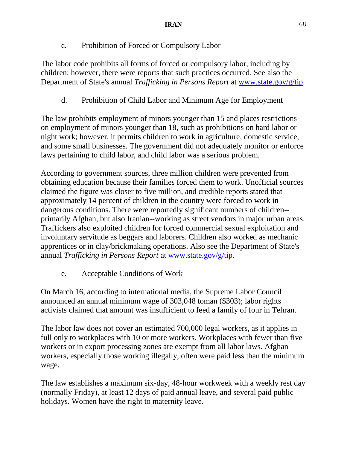c. Prohibition of Forced or Compulsory Labor

The labor code prohibits all forms of forced or compulsory labor, including by children; however, there were reports that such practices occurred. See also the Department of State's annual *Trafficking in Persons Report* at [www.state.gov/g/tip.](http://www.state.gov/g/tip)

d. Prohibition of Child Labor and Minimum Age for Employment

The law prohibits employment of minors younger than 15 and places restrictions on employment of minors younger than 18, such as prohibitions on hard labor or night work; however, it permits children to work in agriculture, domestic service, and some small businesses. The government did not adequately monitor or enforce laws pertaining to child labor, and child labor was a serious problem.

According to government sources, three million children were prevented from obtaining education because their families forced them to work. Unofficial sources claimed the figure was closer to five million, and credible reports stated that approximately 14 percent of children in the country were forced to work in dangerous conditions. There were reportedly significant numbers of children- primarily Afghan, but also Iranian--working as street vendors in major urban areas. Traffickers also exploited children for forced commercial sexual exploitation and involuntary servitude as beggars and laborers. Children also worked as mechanic apprentices or in clay/brickmaking operations. Also see the Department of State's annual *Trafficking in Persons Report* at [www.state.gov/g/tip.](file:///C:/Documents%20and%20Settings%20and%20Settings/PetersonBW/Desktop/www.state.gov/g/tip)

e. Acceptable Conditions of Work

On March 16, according to international media, the Supreme Labor Council announced an annual minimum wage of 303,048 toman (\$303); labor rights activists claimed that amount was insufficient to feed a family of four in Tehran.

The labor law does not cover an estimated 700,000 legal workers, as it applies in full only to workplaces with 10 or more workers. Workplaces with fewer than five workers or in export processing zones are exempt from all labor laws. Afghan workers, especially those working illegally, often were paid less than the minimum wage.

The law establishes a maximum six-day, 48-hour workweek with a weekly rest day (normally Friday), at least 12 days of paid annual leave, and several paid public holidays. Women have the right to maternity leave.